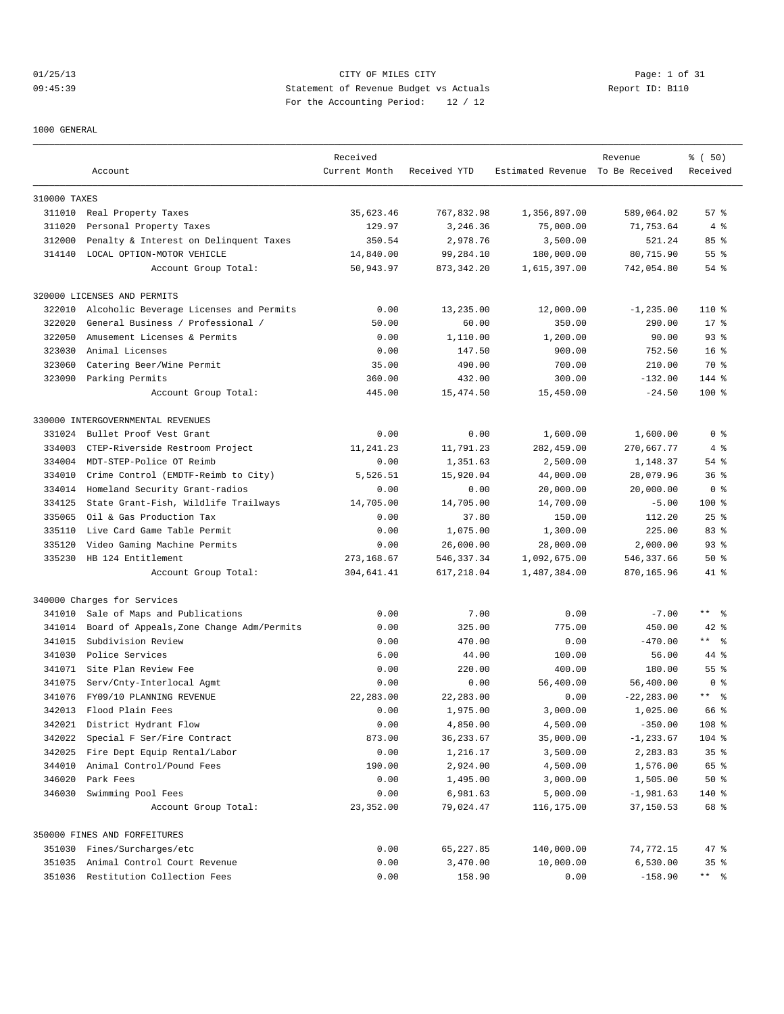# 01/25/13 Page: 1 of 31 09:45:39 Statement of Revenue Budget vs Actuals Report ID: B110 For the Accounting Period: 12 / 12

1000 GENERAL

|              |                                           | Received      |              |                                  | Revenue       | % ( 50)         |
|--------------|-------------------------------------------|---------------|--------------|----------------------------------|---------------|-----------------|
|              | Account                                   | Current Month | Received YTD | Estimated Revenue To Be Received |               | Received        |
| 310000 TAXES |                                           |               |              |                                  |               |                 |
|              | 311010 Real Property Taxes                | 35,623.46     | 767,832.98   | 1,356,897.00                     | 589,064.02    | 57%             |
| 311020       | Personal Property Taxes                   | 129.97        | 3,246.36     | 75,000.00                        | 71,753.64     | 4%              |
| 312000       | Penalty & Interest on Delinquent Taxes    | 350.54        | 2,978.76     | 3,500.00                         | 521.24        | 85 %            |
|              | 314140 LOCAL OPTION-MOTOR VEHICLE         | 14,840.00     | 99,284.10    | 180,000.00                       | 80,715.90     | $55$ $%$        |
|              | Account Group Total:                      | 50,943.97     | 873, 342.20  | 1,615,397.00                     | 742,054.80    | $54$ $%$        |
|              | 320000 LICENSES AND PERMITS               |               |              |                                  |               |                 |
| 322010       | Alcoholic Beverage Licenses and Permits   | 0.00          | 13,235.00    | 12,000.00                        | $-1, 235.00$  | $110*$          |
| 322020       | General Business / Professional /         | 50.00         | 60.00        | 350.00                           | 290.00        | $17*$           |
| 322050       | Amusement Licenses & Permits              | 0.00          | 1,110.00     | 1,200.00                         | 90.00         | $93$ $%$        |
| 323030       | Animal Licenses                           | 0.00          | 147.50       | 900.00                           | 752.50        | 16 <sup>8</sup> |
| 323060       | Catering Beer/Wine Permit                 | 35.00         | 490.00       | 700.00                           | 210.00        | 70 %            |
|              | 323090 Parking Permits                    | 360.00        | 432.00       | 300.00                           | $-132.00$     | 144 %           |
|              | Account Group Total:                      | 445.00        | 15,474.50    | 15,450.00                        | $-24.50$      | $100*$          |
|              | 330000 INTERGOVERNMENTAL REVENUES         |               |              |                                  |               |                 |
| 331024       | Bullet Proof Vest Grant                   | 0.00          | 0.00         | 1,600.00                         | 1,600.00      | 0 <sup>8</sup>  |
| 334003       | CTEP-Riverside Restroom Project           | 11,241.23     | 11,791.23    | 282,459.00                       | 270,667.77    | 4%              |
| 334004       | MDT-STEP-Police OT Reimb                  | 0.00          | 1,351.63     | 2,500.00                         | 1,148.37      | 54 %            |
| 334010       | Crime Control (EMDTF-Reimb to City)       | 5,526.51      | 15,920.04    | 44,000.00                        | 28,079.96     | $36$ $%$        |
| 334014       | Homeland Security Grant-radios            | 0.00          | 0.00         | 20,000.00                        | 20,000.00     | 0 <sup>8</sup>  |
| 334125       | State Grant-Fish, Wildlife Trailways      | 14,705.00     | 14,705.00    | 14,700.00                        | $-5.00$       | $100$ %         |
| 335065       | Oil & Gas Production Tax                  | 0.00          | 37.80        | 150.00                           | 112.20        | 25%             |
| 335110       | Live Card Game Table Permit               | 0.00          | 1,075.00     | 1,300.00                         | 225.00        | 83%             |
| 335120       | Video Gaming Machine Permits              | 0.00          | 26,000.00    | 28,000.00                        | 2,000.00      | 93%             |
| 335230       | HB 124 Entitlement                        | 273, 168.67   | 546, 337.34  | 1,092,675.00                     | 546,337.66    | 50%             |
|              | Account Group Total:                      | 304,641.41    | 617,218.04   | 1,487,384.00                     | 870,165.96    | 41 %            |
|              | 340000 Charges for Services               |               |              |                                  |               |                 |
| 341010       | Sale of Maps and Publications             | 0.00          | 7.00         | 0.00                             | $-7.00$       | $***$ $ -$      |
| 341014       | Board of Appeals, Zone Change Adm/Permits | 0.00          | 325.00       | 775.00                           | 450.00        | $42$ %          |
| 341015       | Subdivision Review                        | 0.00          | 470.00       | 0.00                             | $-470.00$     | $***$ 8         |
| 341030       | Police Services                           | 6.00          | 44.00        | 100.00                           | 56.00         | 44 %            |
|              | 341071 Site Plan Review Fee               | 0.00          | 220.00       | 400.00                           | 180.00        | 55 %            |
| 341075       | Serv/Cnty-Interlocal Agmt                 | 0.00          | 0.00         | 56,400.00                        | 56,400.00     | 0 <sup>8</sup>  |
| 341076       | FY09/10 PLANNING REVENUE                  | 22,283.00     | 22,283.00    | 0.00                             | $-22, 283.00$ | $***$ $%$       |
| 342013       | Flood Plain Fees                          | 0.00          | 1,975.00     | 3,000.00                         | 1,025.00      | 66 %            |
|              | 342021 District Hydrant Flow              | 0.00          | 4,850.00     | 4,500.00                         | $-350.00$     | 108 %           |
| 342022       | Special F Ser/Fire Contract               | 873.00        | 36, 233.67   | 35,000.00                        | $-1, 233.67$  | 104 %           |
| 342025       | Fire Dept Equip Rental/Labor              | 0.00          | 1,216.17     | 3,500.00                         | 2,283.83      | 35%             |
| 344010       | Animal Control/Pound Fees                 | 190.00        | 2,924.00     | 4,500.00                         | 1,576.00      | 65 %            |
| 346020       | Park Fees                                 | 0.00          | 1,495.00     | 3,000.00                         | 1,505.00      | 50%             |
| 346030       | Swimming Pool Fees                        | 0.00          | 6,981.63     | 5,000.00                         | $-1,981.63$   | 140 %           |
|              | Account Group Total:                      | 23,352.00     | 79,024.47    | 116,175.00                       | 37,150.53     | 68 %            |
|              | 350000 FINES AND FORFEITURES              |               |              |                                  |               |                 |
|              | 351030 Fines/Surcharges/etc               | 0.00          | 65,227.85    | 140,000.00                       | 74,772.15     | 47 %            |
|              | 351035 Animal Control Court Revenue       | 0.00          | 3,470.00     | 10,000.00                        | 6,530.00      | 35%             |
|              | 351036 Restitution Collection Fees        | 0.00          | 158.90       | 0.00                             | $-158.90$     | ** %            |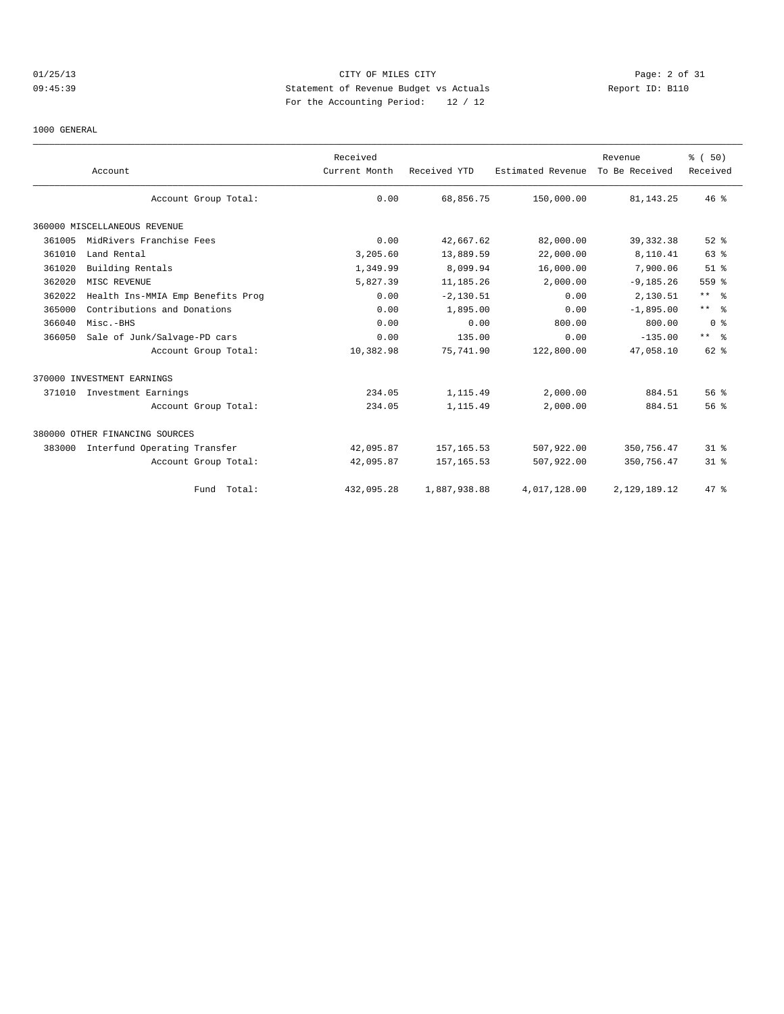# 01/25/13 Page: 2 of 31 09:45:39 Statement of Revenue Budget vs Actuals Report ID: B110 For the Accounting Period: 12 / 12

1000 GENERAL

|        | Account                           | Received<br>Current Month | Received YTD | Estimated Revenue | Revenue<br>To Be Received | % (50)<br>Received |
|--------|-----------------------------------|---------------------------|--------------|-------------------|---------------------------|--------------------|
|        | Account Group Total:              | 0.00                      | 68,856.75    | 150,000.00        | 81, 143. 25               | 46%                |
|        | 360000 MISCELLANEOUS REVENUE      |                           |              |                   |                           |                    |
| 361005 | MidRivers Franchise Fees          | 0.00                      | 42,667.62    | 82,000.00         | 39, 332.38                | $52$ $%$           |
| 361010 | Land Rental                       | 3,205.60                  | 13,889.59    | 22,000.00         | 8,110.41                  | 63 %               |
| 361020 | Building Rentals                  | 1,349.99                  | 8,099.94     | 16,000.00         | 7,900.06                  | $51$ %             |
| 362020 | MISC REVENUE                      | 5,827.39                  | 11,185.26    | 2,000.00          | $-9, 185.26$              | 559 %              |
| 362022 | Health Ins-MMIA Emp Benefits Prog | 0.00                      | $-2, 130.51$ | 0.00              | 2,130.51                  | $***$ $\approx$    |
| 365000 | Contributions and Donations       | 0.00                      | 1,895.00     | 0.00              | $-1,895.00$               | $***$ $\approx$    |
| 366040 | Misc.-BHS                         | 0.00                      | 0.00         | 800.00            | 800.00                    | 0 <sup>8</sup>     |
| 366050 | Sale of Junk/Salvage-PD cars      | 0.00                      | 135.00       | 0.00              | $-135.00$                 | $***$ $ -$         |
|        | Account Group Total:              | 10,382.98                 | 75,741.90    | 122,800.00        | 47,058.10                 | $62$ $%$           |
|        | 370000 INVESTMENT EARNINGS        |                           |              |                   |                           |                    |
|        | 371010 Investment Earnings        | 234.05                    | 1,115.49     | 2,000.00          | 884.51                    | 56%                |
|        | Account Group Total:              | 234.05                    | 1,115.49     | 2,000.00          | 884.51                    | 56%                |
|        | 380000 OTHER FINANCING SOURCES    |                           |              |                   |                           |                    |
| 383000 | Interfund Operating Transfer      | 42,095.87                 | 157, 165.53  | 507,922.00        | 350,756.47                | $31$ %             |
|        | Account Group Total:              | 42,095.87                 | 157, 165.53  | 507,922.00        | 350,756.47                | $31$ %             |
|        | Fund Total:                       | 432,095.28                | 1,887,938.88 | 4,017,128.00      | 2,129,189.12              | 47.8               |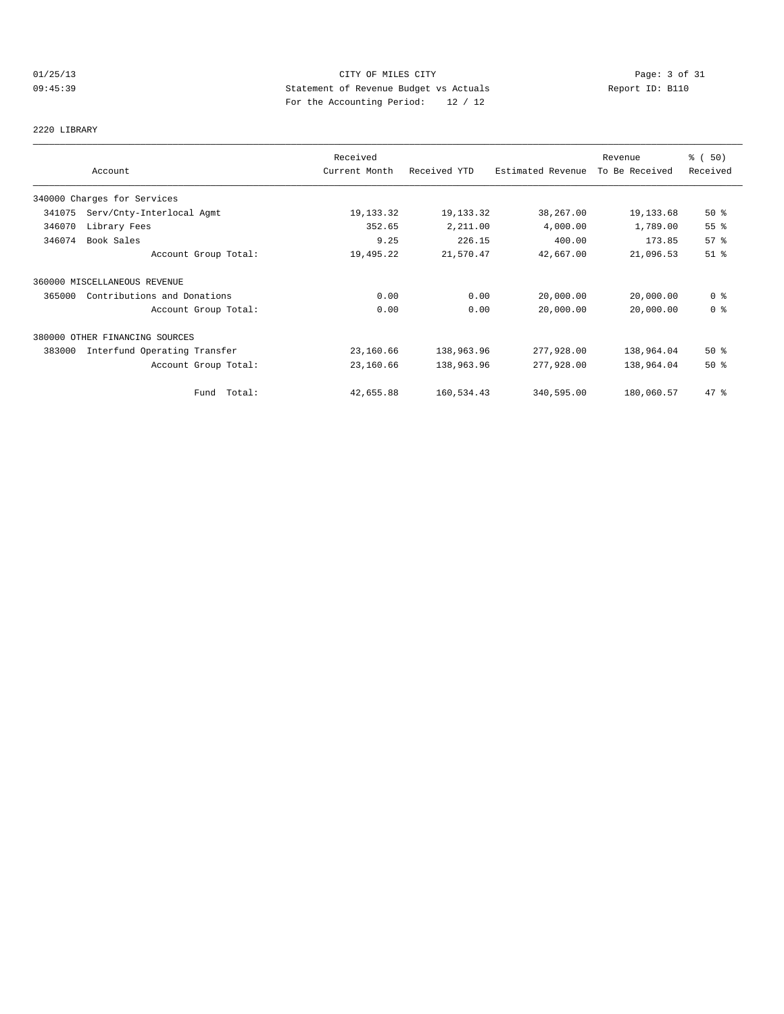# 01/25/13 CITY OF MILES CITY Page: 3 of 31<br>09:45:39 Statement of Revenue Budget vs Actuals Report ID: B110<br>Por the Accumular Deviced: 20:42. 09:45:39 Statement of Revenue Budget vs Actuals Report ID: B110 For the Accounting Period: 12 / 12

# 2220 LIBRARY

|        |                                | Received      |              |                   | Revenue        | % (50)         |
|--------|--------------------------------|---------------|--------------|-------------------|----------------|----------------|
|        | Account                        | Current Month | Received YTD | Estimated Revenue | To Be Received | Received       |
|        | 340000 Charges for Services    |               |              |                   |                |                |
| 341075 | Serv/Cnty-Interlocal Agmt      | 19, 133. 32   | 19, 133.32   | 38,267.00         | 19,133.68      | $50*$          |
| 346070 | Library Fees                   | 352.65        | 2,211.00     | 4,000.00          | 1,789.00       | 55 %           |
| 346074 | Book Sales                     | 9.25          | 226.15       | 400.00            | 173.85         | 57%            |
|        | Account Group Total:           | 19,495.22     | 21,570.47    | 42,667.00         | 21,096.53      | $51$ %         |
|        | 360000 MISCELLANEOUS REVENUE   |               |              |                   |                |                |
| 365000 | Contributions and Donations    | 0.00          | 0.00         | 20,000.00         | 20,000.00      | 0 <sup>8</sup> |
|        | Account Group Total:           | 0.00          | 0.00         | 20,000.00         | 20,000.00      | 0 <sup>8</sup> |
|        | 380000 OTHER FINANCING SOURCES |               |              |                   |                |                |
| 383000 | Interfund Operating Transfer   | 23,160.66     | 138,963.96   | 277,928.00        | 138,964.04     | $50*$          |
|        | Account Group Total:           | 23,160.66     | 138,963.96   | 277,928.00        | 138,964.04     | $50*$          |
|        | Fund Total:                    | 42,655.88     | 160,534.43   | 340,595.00        | 180,060.57     | 47.8           |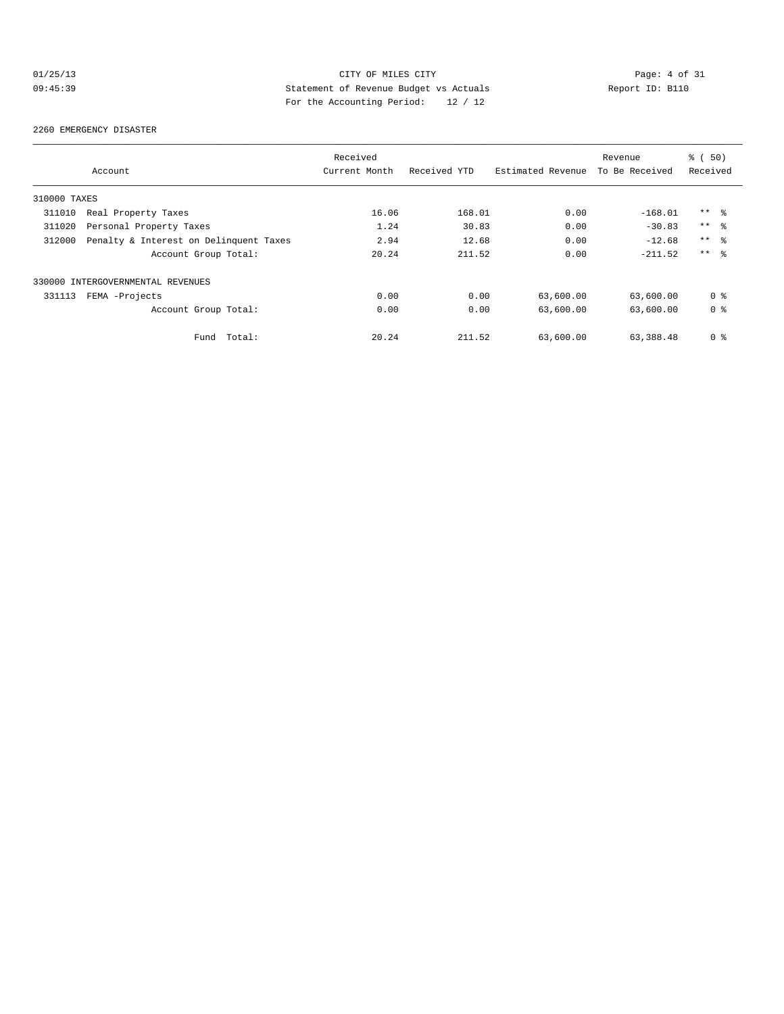# 01/25/13 CITY OF MILES CITY Page: 4 of 31<br>09:45:39 Statement of Revenue Budget vs Actuals Report ID: B110<br>Por the Accumular Deviced: 20:420 09:45:39 Statement of Revenue Budget vs Actuals Report ID: B110 For the Accounting Period: 12 / 12

#### 2260 EMERGENCY DISASTER

|              |                                        | Received      |              |                   | Revenue        | 8 ( 50)         |
|--------------|----------------------------------------|---------------|--------------|-------------------|----------------|-----------------|
|              | Account                                | Current Month | Received YTD | Estimated Revenue | To Be Received | Received        |
| 310000 TAXES |                                        |               |              |                   |                |                 |
| 311010       | Real Property Taxes                    | 16.06         | 168.01       | 0.00              | $-168.01$      | $***$ %         |
| 311020       | Personal Property Taxes                | 1.24          | 30.83        | 0.00              | $-30.83$       | $***$ %         |
| 312000       | Penalty & Interest on Delinquent Taxes | 2.94          | 12.68        | 0.00              | $-12.68$       | $***$ %         |
|              | Account Group Total:                   | 20.24         | 211.52       | 0.00              | $-211.52$      | $***$ $\approx$ |
|              | 330000 INTERGOVERNMENTAL REVENUES      |               |              |                   |                |                 |
| 331113       | FEMA -Projects                         | 0.00          | 0.00         | 63,600.00         | 63,600.00      | 0 <sup>8</sup>  |
|              | Account Group Total:                   | 0.00          | 0.00         | 63,600.00         | 63,600.00      | 0 <sub>8</sub>  |
|              | Total:<br>Fund                         | 20.24         | 211.52       | 63,600.00         | 63, 388, 48    | 0 <sub>8</sub>  |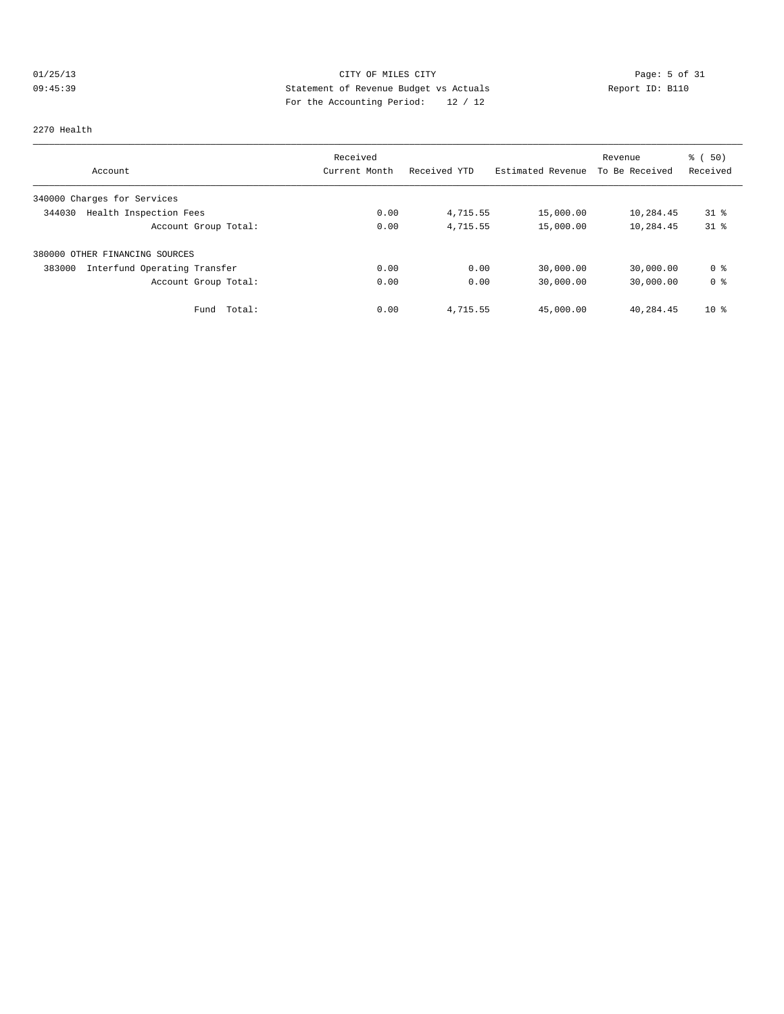# 01/25/13 CITY OF MILES CITY Page: 5 of 31 09:45:39 Statement of Revenue Budget vs Actuals Report ID: B110<br>Report ID: B110 For the Accounting Period: 12 / 12

#### 2270 Health

|                                        | Received      |              |                   | Revenue        | $\frac{1}{6}$ (50) |
|----------------------------------------|---------------|--------------|-------------------|----------------|--------------------|
| Account                                | Current Month | Received YTD | Estimated Revenue | To Be Received | Received           |
| 340000 Charges for Services            |               |              |                   |                |                    |
| Health Inspection Fees<br>344030       | 0.00          | 4,715.55     | 15,000.00         | 10,284.45      | $31*$              |
| Account Group Total:                   | 0.00          | 4,715.55     | 15,000.00         | 10,284.45      | $31*$              |
| 380000 OTHER FINANCING SOURCES         |               |              |                   |                |                    |
| 383000<br>Interfund Operating Transfer | 0.00          | 0.00         | 30,000.00         | 30,000.00      | 0 %                |
| Account Group Total:                   | 0.00          | 0.00         | 30,000.00         | 30,000.00      | 0 <sup>8</sup>     |
| Total:<br>Fund                         | 0.00          | 4,715.55     | 45,000.00         | 40,284.45      | $10*$              |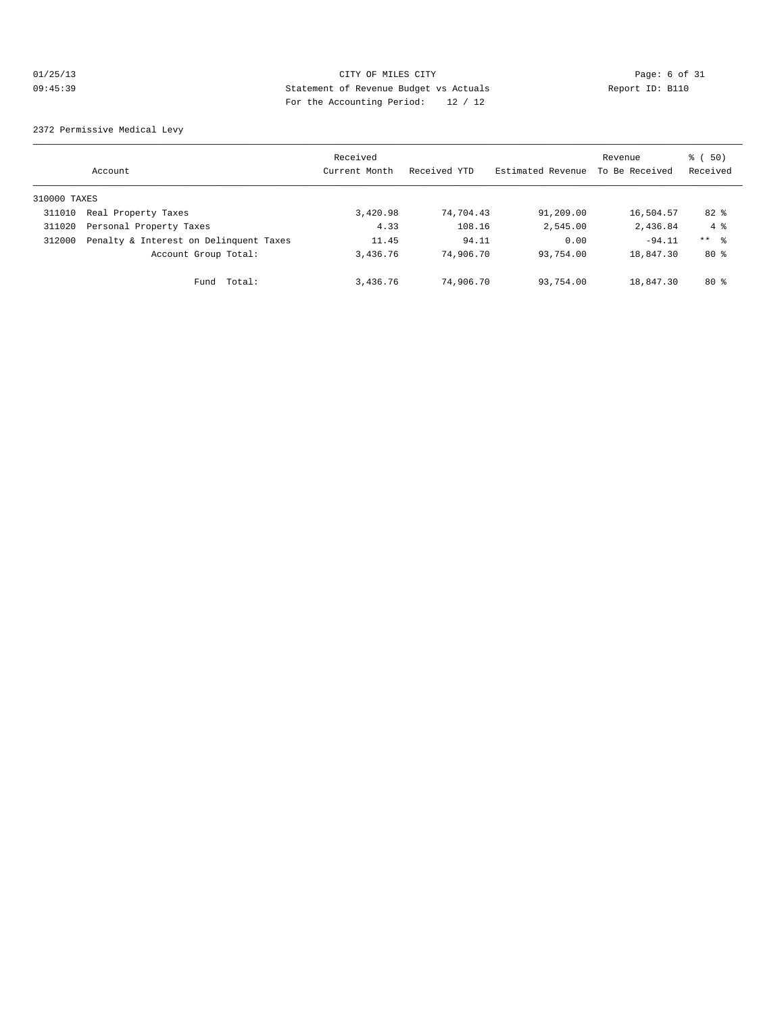# 01/25/13 CITY OF MILES CITY Page: 6 of 31 09:45:39 Statement of Revenue Budget vs Actuals Report ID: B110 For the Accounting Period: 12 / 12

2372 Permissive Medical Levy

|              | Account                                | Received<br>Current Month | Received YTD | Estimated Revenue | Revenue<br>To Be Received | 8 ( 50)<br>Received |
|--------------|----------------------------------------|---------------------------|--------------|-------------------|---------------------------|---------------------|
| 310000 TAXES |                                        |                           |              |                   |                           |                     |
| 311010       | Real Property Taxes                    | 3,420.98                  | 74,704.43    | 91,209.00         | 16,504.57                 | $82*$               |
| 311020       | Personal Property Taxes                | 4.33                      | 108.16       | 2,545.00          | 2,436.84                  | $4 \text{ }$        |
| 312000       | Penalty & Interest on Delinquent Taxes | 11.45                     | 94.11        | 0.00              | $-94.11$                  | $***$ 8             |
|              | Account Group Total:                   | 3,436.76                  | 74,906.70    | 93,754.00         | 18,847.30                 | 80%                 |
|              | Fund Total:                            | 3,436.76                  | 74,906.70    | 93,754.00         | 18,847.30                 | $80*$               |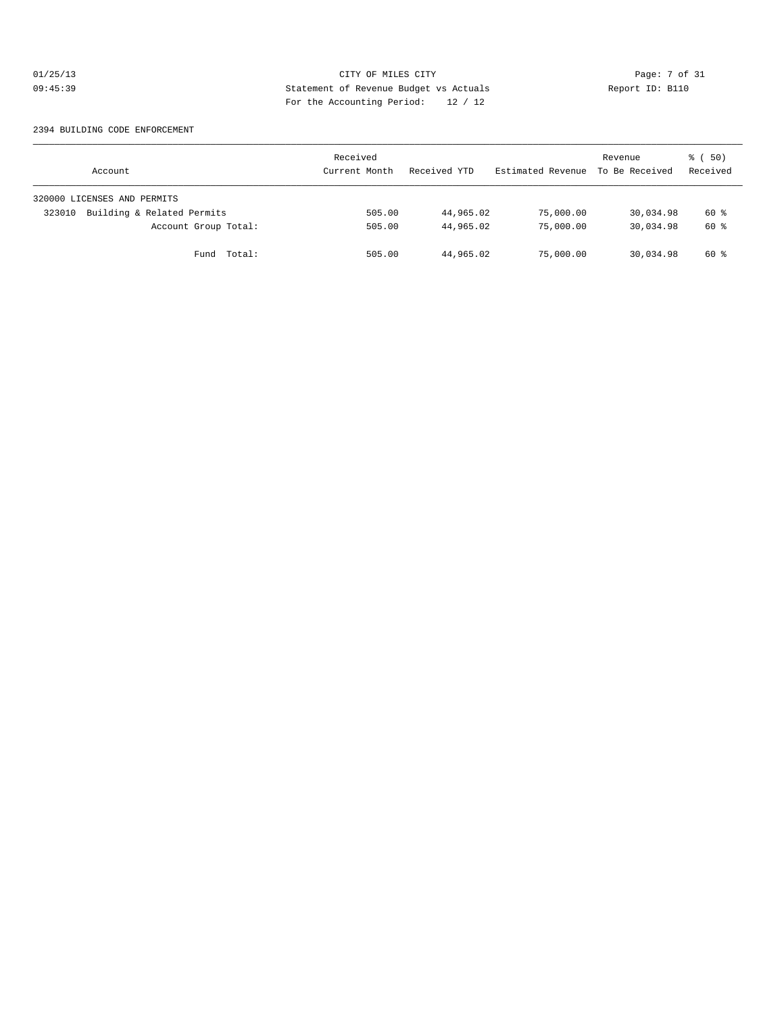# 01/25/13 CITY OF MILES CITY Page: 7 of 31 09:45:39 Statement of Revenue Budget vs Actuals Report ID: B110<br>Report ID: B110 For the Accounting Period: 12 / 12

#### 2394 BUILDING CODE ENFORCEMENT

| Account                              | Received<br>Current Month | Received YTD | Estimated Revenue | Revenue<br>To Be Received | 8 ( 50)<br>Received |
|--------------------------------------|---------------------------|--------------|-------------------|---------------------------|---------------------|
| 320000 LICENSES AND PERMITS          |                           |              |                   |                           |                     |
| Building & Related Permits<br>323010 | 505.00                    | 44,965.02    | 75,000.00         | 30,034.98                 | 60 %                |
| Account Group Total:                 | 505.00                    | 44,965.02    | 75,000.00         | 30,034.98                 | 60 %                |
| Fund Total:                          | 505.00                    | 44,965.02    | 75,000.00         | 30,034.98                 | 60 %                |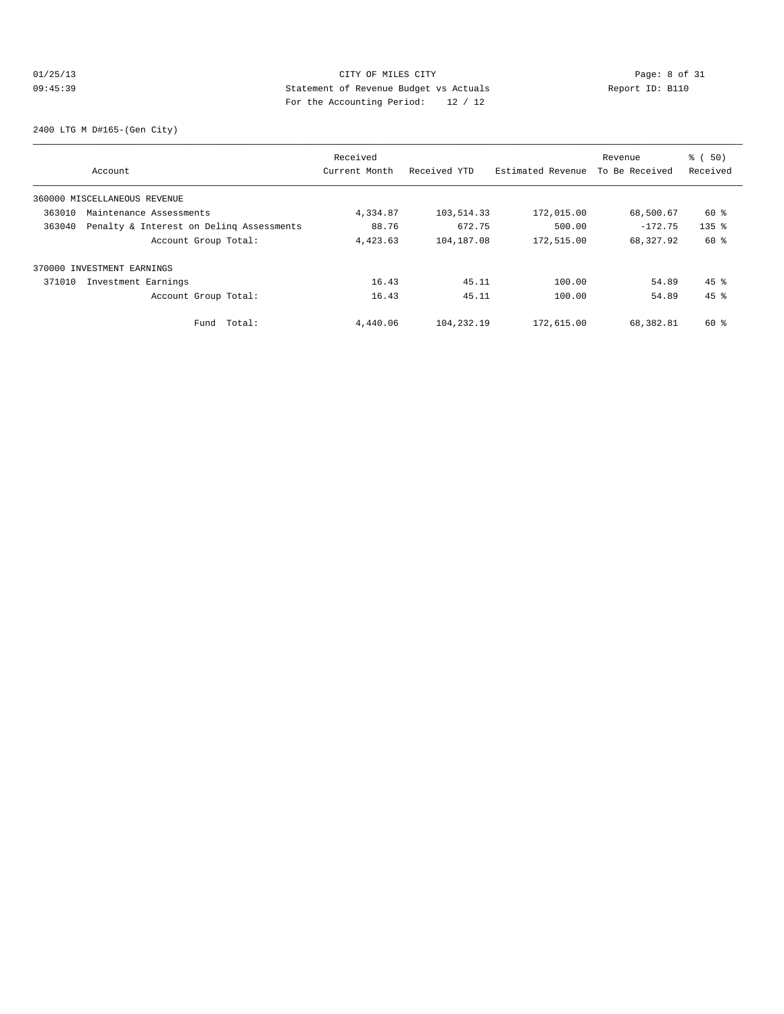# Olis CITY OF MILES CITY CONTRIBUTE CITY Page: 8 of 31<br>
09:45:39 Statement of Revenue Budget vs Actuals Report ID: B110 09:45:39 Statement of Revenue Budget vs Actuals Report ID: B110 For the Accounting Period: 12 / 12

2400 LTG M D#165-(Gen City)

|        |                                          | Received      |              |                   | Revenue        | % ( 50)            |
|--------|------------------------------------------|---------------|--------------|-------------------|----------------|--------------------|
|        | Account                                  | Current Month | Received YTD | Estimated Revenue | To Be Received | Received           |
|        | 360000 MISCELLANEOUS REVENUE             |               |              |                   |                |                    |
| 363010 | Maintenance Assessments                  | 4,334.87      | 103,514.33   | 172,015.00        | 68,500.67      | 60 %               |
| 363040 | Penalty & Interest on Deling Assessments | 88.76         | 672.75       | 500.00            | $-172.75$      | $135$ $%$          |
|        | Account Group Total:                     | 4,423.63      | 104,187.08   | 172,515.00        | 68,327.92      | 60 %               |
|        | 370000 INVESTMENT EARNINGS               |               |              |                   |                |                    |
| 371010 | Investment Earnings                      | 16.43         | 45.11        | 100.00            | 54.89          | $45$ $\frac{6}{3}$ |
|        | Account Group Total:                     | 16.43         | 45.11        | 100.00            | 54.89          | $45$ $%$           |
|        | Total:<br>Fund                           | 4,440.06      | 104,232.19   | 172,615.00        | 68,382.81      | $60*$              |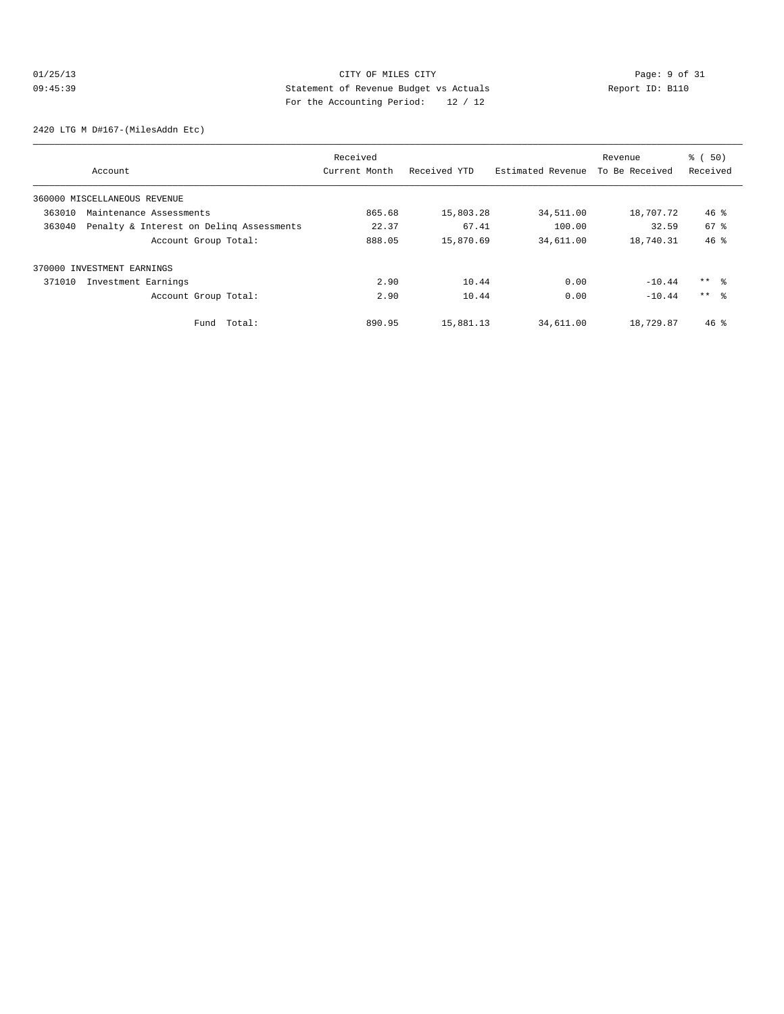# 01/25/13 CITY OF MILES CITY Page: 9 of 31<br>09:45:39 Statement of Revenue Budget vs Actuals Report ID: B110<br>09:45:39 Page: the National Page of Actual Page: 10 09:45:39 Statement of Revenue Budget vs Actuals Report ID: B110 For the Accounting Period: 12 / 12

2420 LTG M D#167-(MilesAddn Etc)

|        |                                          | Received      |              |                   | Revenue        | % ( 50)         |
|--------|------------------------------------------|---------------|--------------|-------------------|----------------|-----------------|
|        | Account                                  | Current Month | Received YTD | Estimated Revenue | To Be Received | Received        |
|        | 360000 MISCELLANEOUS REVENUE             |               |              |                   |                |                 |
| 363010 | Maintenance Assessments                  | 865.68        | 15,803.28    | 34,511.00         | 18,707.72      | $46*$           |
| 363040 | Penalty & Interest on Deling Assessments | 22.37         | 67.41        | 100.00            | 32.59          | 67 %            |
|        | Account Group Total:                     | 888.05        | 15,870.69    | 34,611.00         | 18,740.31      | 46%             |
|        | 370000 INVESTMENT EARNINGS               |               |              |                   |                |                 |
| 371010 | Investment Earnings                      | 2.90          | 10.44        | 0.00              | $-10.44$       | $***$ $\approx$ |
|        | Account Group Total:                     | 2.90          | 10.44        | 0.00              | $-10.44$       | $***$ $\approx$ |
|        | Total:<br>Fund                           | 890.95        | 15,881.13    | 34,611.00         | 18,729.87      | $46*$           |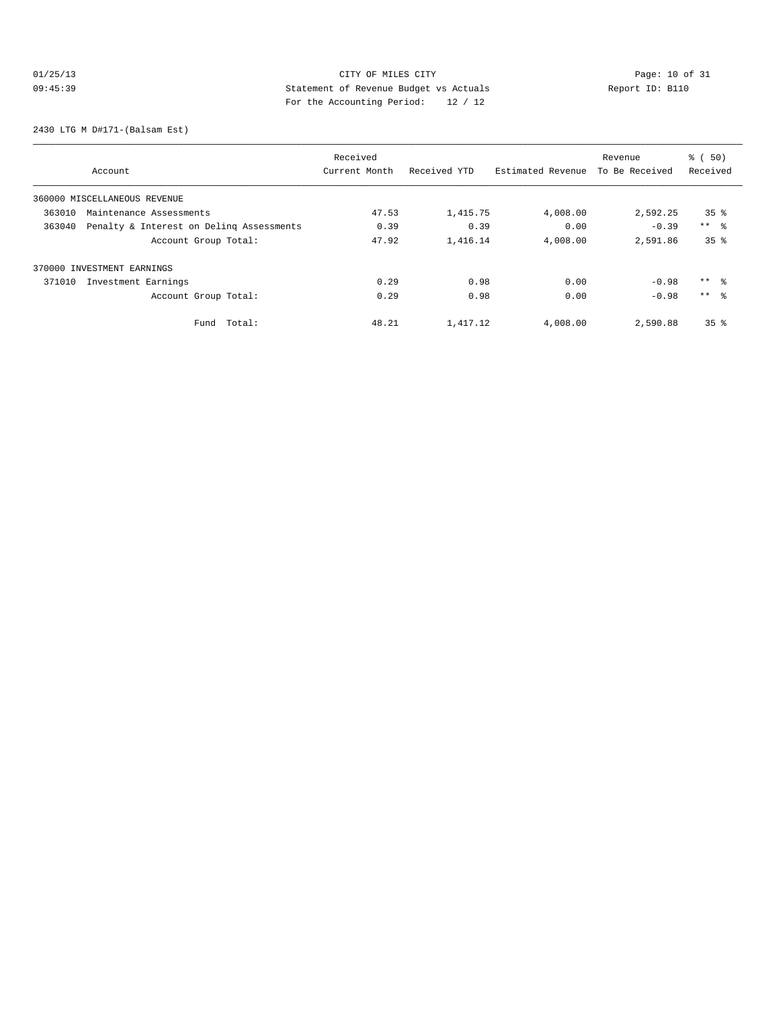# 01/25/13 CITY OF MILES CITY<br>09:45:39 Deport ID: B110<br>09:45:39 CITY Development of Revenue Budget vs Actuals<br>For the Accounting Device: 12.4.12 09:45:39 Statement of Revenue Budget vs Actuals Report ID: B110 For the Accounting Period: 12 / 12

2430 LTG M D#171-(Balsam Est)

|        |                                          | Received      |              |                   | Revenue        | % ( 50)         |
|--------|------------------------------------------|---------------|--------------|-------------------|----------------|-----------------|
|        | Account                                  | Current Month | Received YTD | Estimated Revenue | To Be Received | Received        |
|        | 360000 MISCELLANEOUS REVENUE             |               |              |                   |                |                 |
| 363010 | Maintenance Assessments                  | 47.53         | 1,415.75     | 4,008.00          | 2,592.25       | 35 <sup>8</sup> |
| 363040 | Penalty & Interest on Deling Assessments | 0.39          | 0.39         | 0.00              | $-0.39$        | $***$ 8         |
|        | Account Group Total:                     | 47.92         | 1,416.14     | 4,008.00          | 2,591.86       | 35 <sup>8</sup> |
|        | 370000 INVESTMENT EARNINGS               |               |              |                   |                |                 |
| 371010 | Investment Earnings                      | 0.29          | 0.98         | 0.00              | $-0.98$        | $***$ %         |
|        | Account Group Total:                     | 0.29          | 0.98         | 0.00              | $-0.98$        | $***$ $\approx$ |
|        | Total:<br>Fund                           | 48.21         | 1,417.12     | 4,008.00          | 2,590.88       | 35 <sup>8</sup> |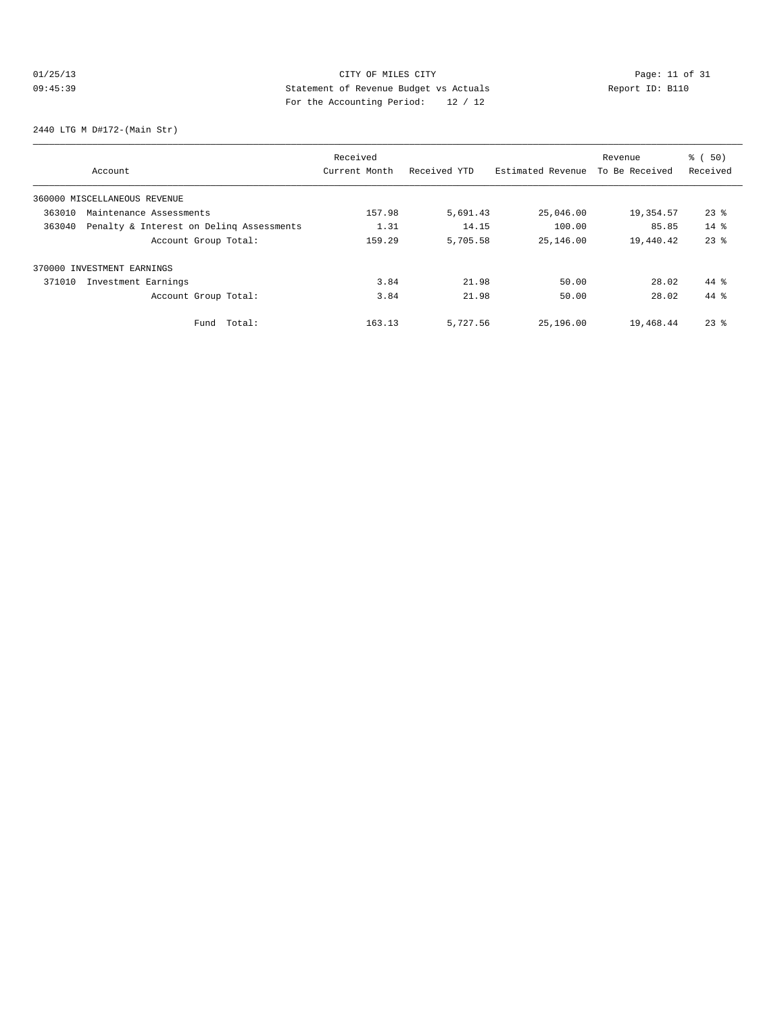# 01/25/13 Page: 11 of 31 09:45:39 Statement of Revenue Budget vs Actuals Report ID: B110<br>Report ID: B110 For the Accounting Period: 12 / 12

2440 LTG M D#172-(Main Str)

|        |                                          | Received      |              |                   | Revenue        | % ( 50)  |
|--------|------------------------------------------|---------------|--------------|-------------------|----------------|----------|
|        | Account                                  | Current Month | Received YTD | Estimated Revenue | To Be Received | Received |
|        | 360000 MISCELLANEOUS REVENUE             |               |              |                   |                |          |
| 363010 | Maintenance Assessments                  | 157.98        | 5,691.43     | 25,046.00         | 19,354.57      | $23$ %   |
| 363040 | Penalty & Interest on Deling Assessments | 1.31          | 14.15        | 100.00            | 85.85          | $14*$    |
|        | Account Group Total:                     | 159.29        | 5,705.58     | 25,146.00         | 19,440.42      | $23$ $%$ |
|        | 370000 INVESTMENT EARNINGS               |               |              |                   |                |          |
| 371010 | Investment Earnings                      | 3.84          | 21.98        | 50.00             | 28.02          | $44*$    |
|        | Account Group Total:                     | 3.84          | 21.98        | 50.00             | 28.02          | 44 %     |
|        | Total:<br>Fund                           | 163.13        | 5,727.56     | 25,196.00         | 19,468.44      | $23$ %   |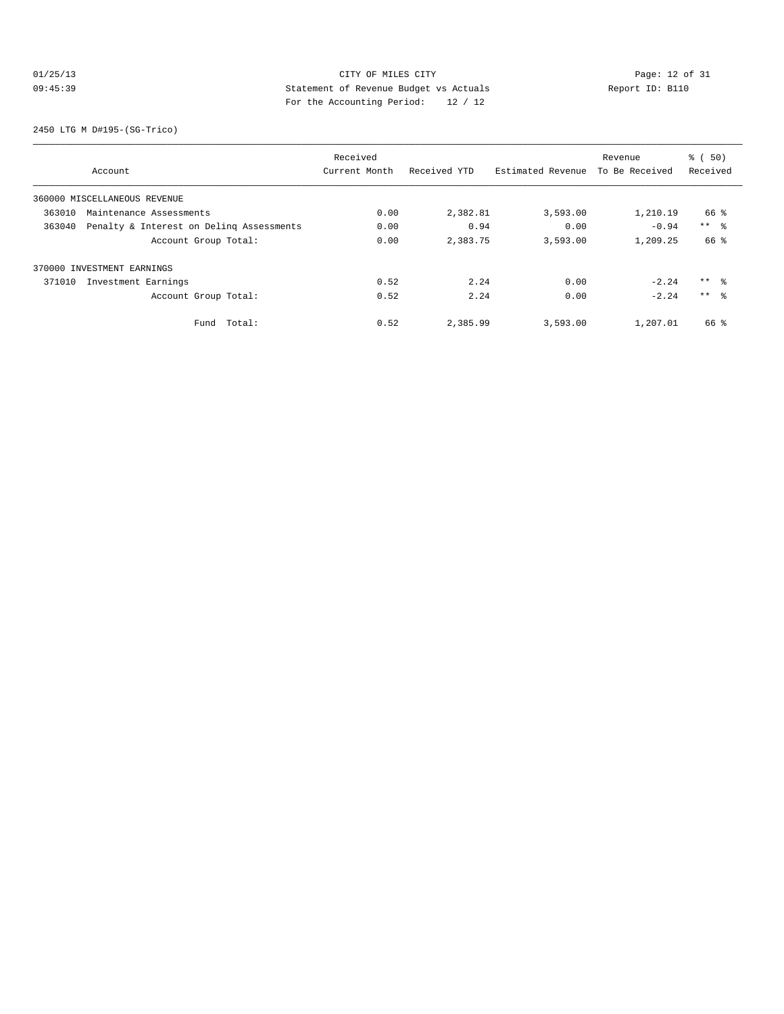# 01/25/13 Page: 12 of 31 09:45:39 Statement of Revenue Budget vs Actuals Report ID: B110 For the Accounting Period: 12 / 12

2450 LTG M D#195-(SG-Trico)

|        |                                          | Received      |              |                   | Revenue        | % ( 50)         |
|--------|------------------------------------------|---------------|--------------|-------------------|----------------|-----------------|
|        | Account                                  | Current Month | Received YTD | Estimated Revenue | To Be Received | Received        |
|        | 360000 MISCELLANEOUS REVENUE             |               |              |                   |                |                 |
| 363010 | Maintenance Assessments                  | 0.00          | 2,382.81     | 3,593.00          | 1,210.19       | 66 %            |
| 363040 | Penalty & Interest on Deling Assessments | 0.00          | 0.94         | 0.00              | $-0.94$        | $***$ %         |
|        | Account Group Total:                     | 0.00          | 2,383.75     | 3,593.00          | 1,209.25       | 66 %            |
|        | 370000 INVESTMENT EARNINGS               |               |              |                   |                |                 |
| 371010 | Investment Earnings                      | 0.52          | 2.24         | 0.00              | $-2.24$        | $***$ %         |
|        | Account Group Total:                     | 0.52          | 2.24         | 0.00              | $-2.24$        | $***$ $\approx$ |
|        | Total:<br>Fund                           | 0.52          | 2,385.99     | 3,593.00          | 1,207.01       | 66 %            |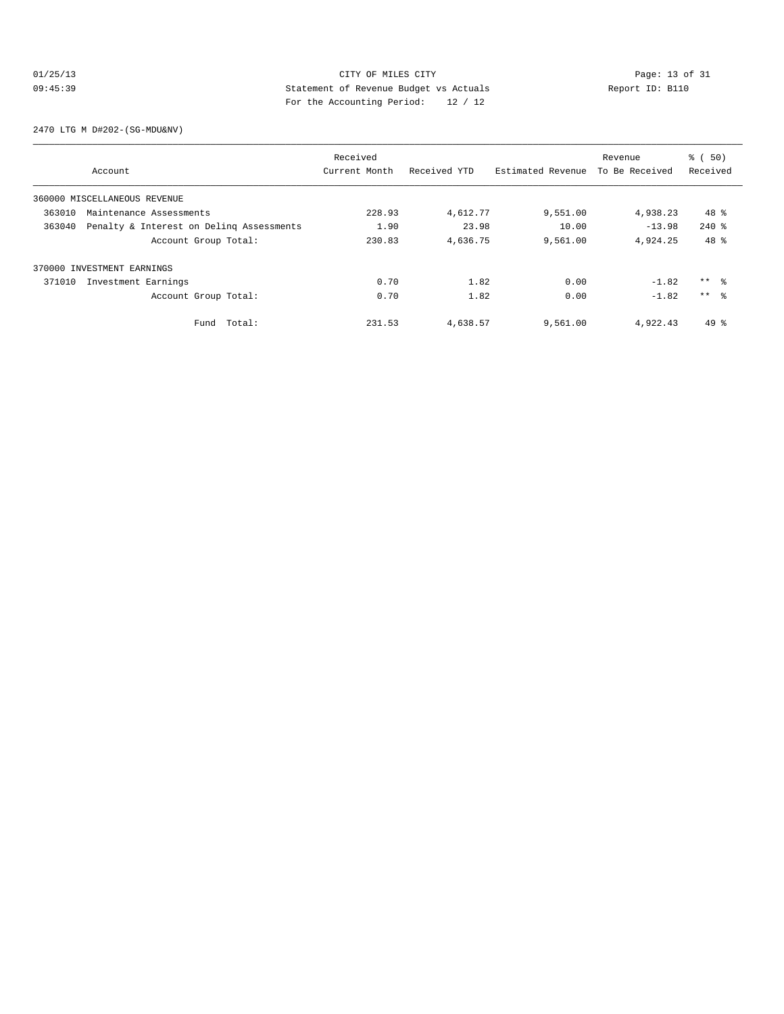# 01/25/13 Page: 13 of 31 09:45:39 Statement of Revenue Budget vs Actuals Report ID: B110 For the Accounting Period: 12 / 12

2470 LTG M D#202-(SG-MDU&NV)

|        |                                          | Received      |              |                   | Revenue        | % ( 50)         |
|--------|------------------------------------------|---------------|--------------|-------------------|----------------|-----------------|
|        | Account                                  | Current Month | Received YTD | Estimated Revenue | To Be Received | Received        |
|        | 360000 MISCELLANEOUS REVENUE             |               |              |                   |                |                 |
| 363010 | Maintenance Assessments                  | 228.93        | 4,612.77     | 9,551.00          | 4,938.23       | $48*$           |
| 363040 | Penalty & Interest on Deling Assessments | 1.90          | 23.98        | 10.00             | $-13.98$       | $240$ %         |
|        | Account Group Total:                     | 230.83        | 4,636.75     | 9,561.00          | 4.924.25       | 48 %            |
|        | 370000 INVESTMENT EARNINGS               |               |              |                   |                |                 |
| 371010 | Investment Earnings                      | 0.70          | 1.82         | 0.00              | $-1.82$        | $***$ $\approx$ |
|        | Account Group Total:                     | 0.70          | 1.82         | 0.00              | $-1.82$        | $***$ $\approx$ |
|        | Fund Total:                              | 231.53        | 4,638.57     | 9,561.00          | 4,922.43       | $49*$           |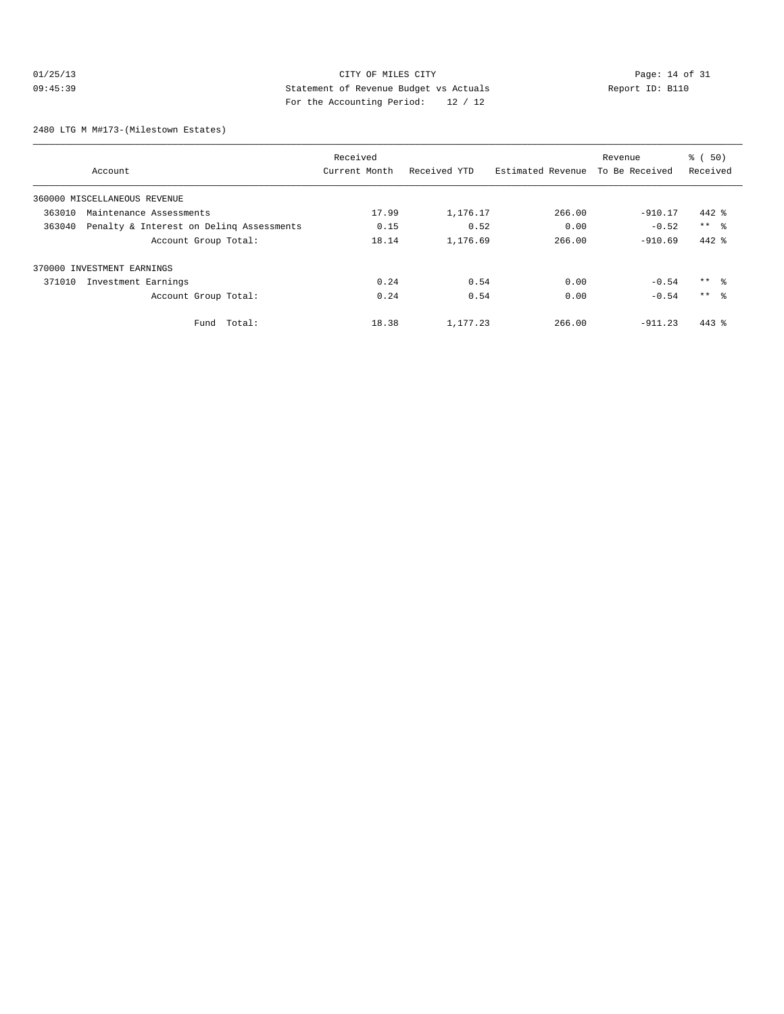# 01/25/13 CITY OF MILES CITY<br>
09:45:39 Statement of Revenue Budget vs Actuals<br>
Page: 14 of 31<br>
Page: the Accounting Boules (10 / 10 09:45:39 Statement of Revenue Budget vs Actuals Report ID: B110 For the Accounting Period: 12 / 12

2480 LTG M M#173-(Milestown Estates)

|        |                                          | Received      |              |                   | Revenue        | % ( 50)         |
|--------|------------------------------------------|---------------|--------------|-------------------|----------------|-----------------|
|        | Account                                  | Current Month | Received YTD | Estimated Revenue | To Be Received | Received        |
|        | 360000 MISCELLANEOUS REVENUE             |               |              |                   |                |                 |
| 363010 | Maintenance Assessments                  | 17.99         | 1,176.17     | 266.00            | $-910.17$      | $442$ %         |
| 363040 | Penalty & Interest on Deling Assessments | 0.15          | 0.52         | 0.00              | $-0.52$        | $***$ %         |
|        | Account Group Total:                     | 18.14         | 1,176.69     | 266.00            | $-910.69$      | $442$ %         |
|        | 370000 INVESTMENT EARNINGS               |               |              |                   |                |                 |
| 371010 | Investment Earnings                      | 0.24          | 0.54         | 0.00              | $-0.54$        | $***$ %         |
|        | Account Group Total:                     | 0.24          | 0.54         | 0.00              | $-0.54$        | $***$ $\approx$ |
|        | Total:<br>Fund                           | 18.38         | 1,177.23     | 266.00            | $-911.23$      | $443$ %         |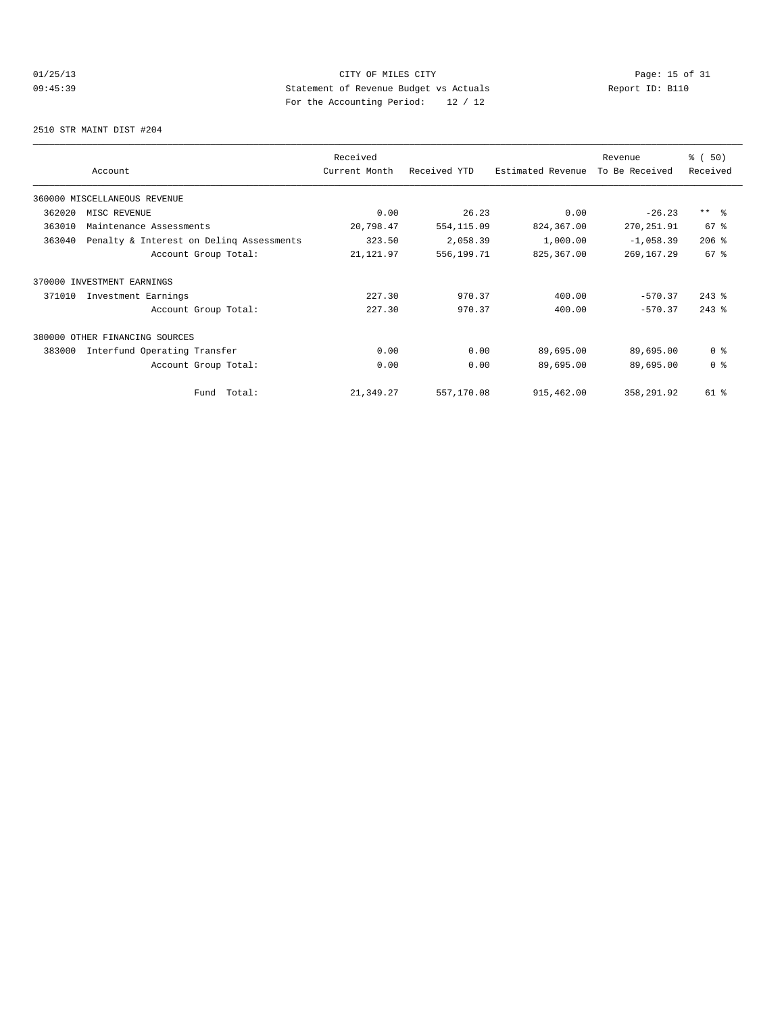# 01/25/13 Page: 15 of 31 09:45:39 Statement of Revenue Budget vs Actuals Report ID: B110 For the Accounting Period: 12 / 12

2510 STR MAINT DIST #204

|        |                                          | Received      | Revenue      |                   |                | % (50)          |
|--------|------------------------------------------|---------------|--------------|-------------------|----------------|-----------------|
|        | Account                                  | Current Month | Received YTD | Estimated Revenue | To Be Received | Received        |
|        | 360000 MISCELLANEOUS REVENUE             |               |              |                   |                |                 |
| 362020 | MISC REVENUE                             | 0.00          | 26.23        | 0.00              | $-26.23$       | $***$ $ -$      |
| 363010 | Maintenance Assessments                  | 20,798.47     | 554,115.09   | 824,367.00        | 270,251.91     | 67 %            |
| 363040 | Penalty & Interest on Deling Assessments | 323.50        | 2,058.39     | 1,000.00          | $-1,058.39$    | $206$ %         |
|        | Account Group Total:                     | 21, 121.97    | 556,199.71   | 825,367.00        | 269, 167.29    | 67 <sup>°</sup> |
|        | 370000 INVESTMENT EARNINGS               |               |              |                   |                |                 |
| 371010 | Investment Earnings                      | 227.30        | 970.37       | 400.00            | $-570.37$      | $243$ $%$       |
|        | Account Group Total:                     | 227.30        | 970.37       | 400.00            | $-570.37$      | $243$ $%$       |
|        | 380000 OTHER FINANCING SOURCES           |               |              |                   |                |                 |
| 383000 | Interfund Operating Transfer             | 0.00          | 0.00         | 89,695.00         | 89,695.00      | 0 <sup>8</sup>  |
|        | Account Group Total:                     | 0.00          | 0.00         | 89,695.00         | 89,695.00      | 0 <sup>8</sup>  |
|        | Fund Total:                              | 21,349.27     | 557,170.08   | 915,462.00        | 358,291.92     | 61 %            |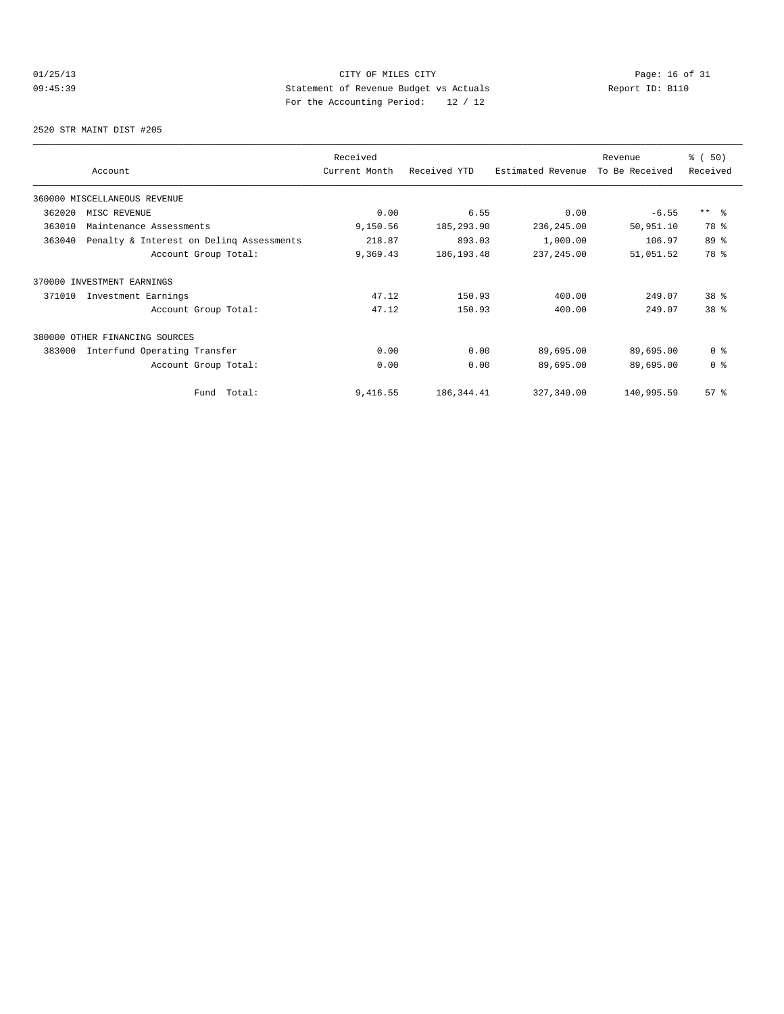# 01/25/13 Page: 16 of 31 09:45:39 Statement of Revenue Budget vs Actuals Report ID: B110 For the Accounting Period: 12 / 12

2520 STR MAINT DIST #205

|        |                                          | Received      |              |                   | Revenue        | % (50)          |
|--------|------------------------------------------|---------------|--------------|-------------------|----------------|-----------------|
|        | Account                                  | Current Month | Received YTD | Estimated Revenue | To Be Received | Received        |
|        | 360000 MISCELLANEOUS REVENUE             |               |              |                   |                |                 |
| 362020 | MISC REVENUE                             | 0.00          | 6.55         | 0.00              | $-6.55$        | $***$ $ -$      |
| 363010 | Maintenance Assessments                  | 9,150.56      | 185,293.90   | 236, 245.00       | 50,951.10      | 78 %            |
| 363040 | Penalty & Interest on Deling Assessments | 218.87        | 893.03       | 1,000.00          | 106.97         | 89 %            |
|        | Account Group Total:                     | 9,369.43      | 186, 193.48  | 237, 245.00       | 51,051.52      | 78 %            |
|        | 370000 INVESTMENT EARNINGS               |               |              |                   |                |                 |
| 371010 | Investment Earnings                      | 47.12         | 150.93       | 400.00            | 249.07         | 38 <sup>8</sup> |
|        | Account Group Total:                     | 47.12         | 150.93       | 400.00            | 249.07         | 38 <sup>8</sup> |
| 380000 | OTHER FINANCING SOURCES                  |               |              |                   |                |                 |
| 383000 | Interfund Operating Transfer             | 0.00          | 0.00         | 89,695.00         | 89,695.00      | 0 <sup>8</sup>  |
|        | Account Group Total:                     | 0.00          | 0.00         | 89,695.00         | 89,695.00      | 0 <sup>8</sup>  |
|        | Total:<br>Fund                           | 9,416.55      | 186, 344.41  | 327,340.00        | 140,995.59     | 57%             |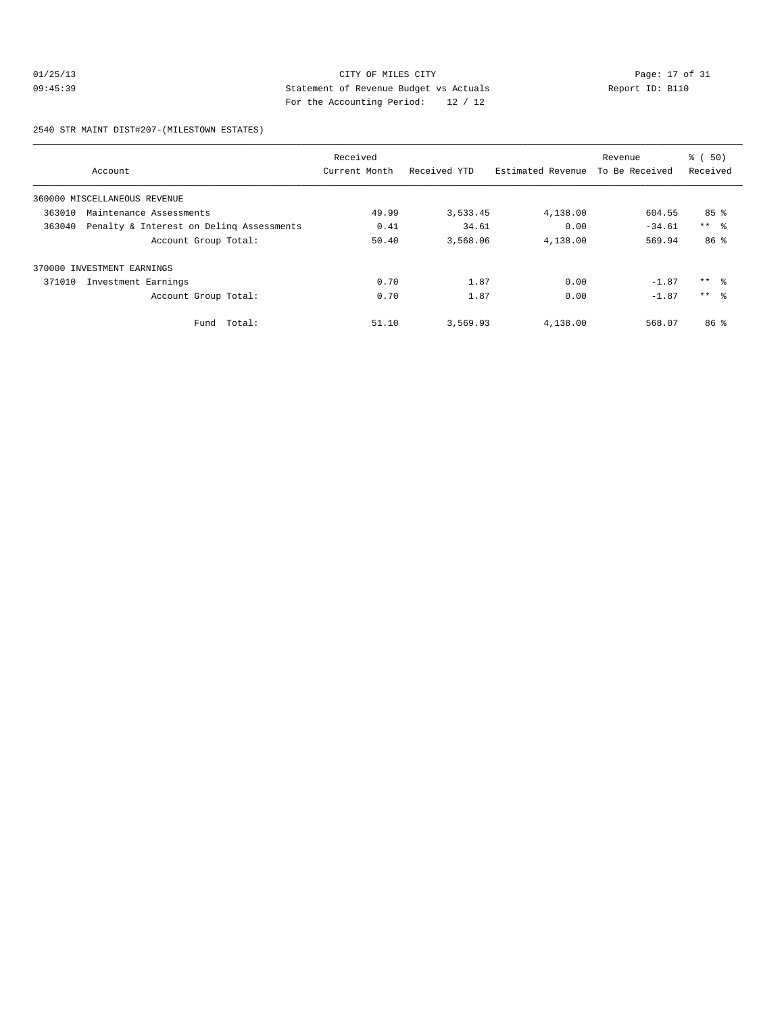# 01/25/13 Page: 17 of 31 09:45:39 Statement of Revenue Budget vs Actuals Report ID: B110 For the Accounting Period: 12 / 12

2540 STR MAINT DIST#207-(MILESTOWN ESTATES)

|        |                                          | Received      |              |                   | Revenue        | $\frac{1}{6}$ (50)  |
|--------|------------------------------------------|---------------|--------------|-------------------|----------------|---------------------|
|        | Account                                  | Current Month | Received YTD | Estimated Revenue | To Be Received | Received            |
|        | 360000 MISCELLANEOUS REVENUE             |               |              |                   |                |                     |
| 363010 | Maintenance Assessments                  | 49.99         | 3,533.45     | 4,138.00          | 604.55         | 85 <sup>8</sup>     |
| 363040 | Penalty & Interest on Deling Assessments | 0.41          | 34.61        | 0.00              | $-34.61$       | $***$ $\frac{6}{5}$ |
|        | Account Group Total:                     | 50.40         | 3,568.06     | 4,138.00          | 569.94         | 86 %                |
|        | 370000 INVESTMENT EARNINGS               |               |              |                   |                |                     |
| 371010 | Investment Earnings                      | 0.70          | 1.87         | 0.00              | $-1.87$        | ** 왕                |
|        | Account Group Total:                     | 0.70          | 1.87         | 0.00              | $-1.87$        | $***$ %             |
|        | Total:<br>Fund                           | 51.10         | 3,569.93     | 4,138.00          | 568.07         | 86 <sup>8</sup>     |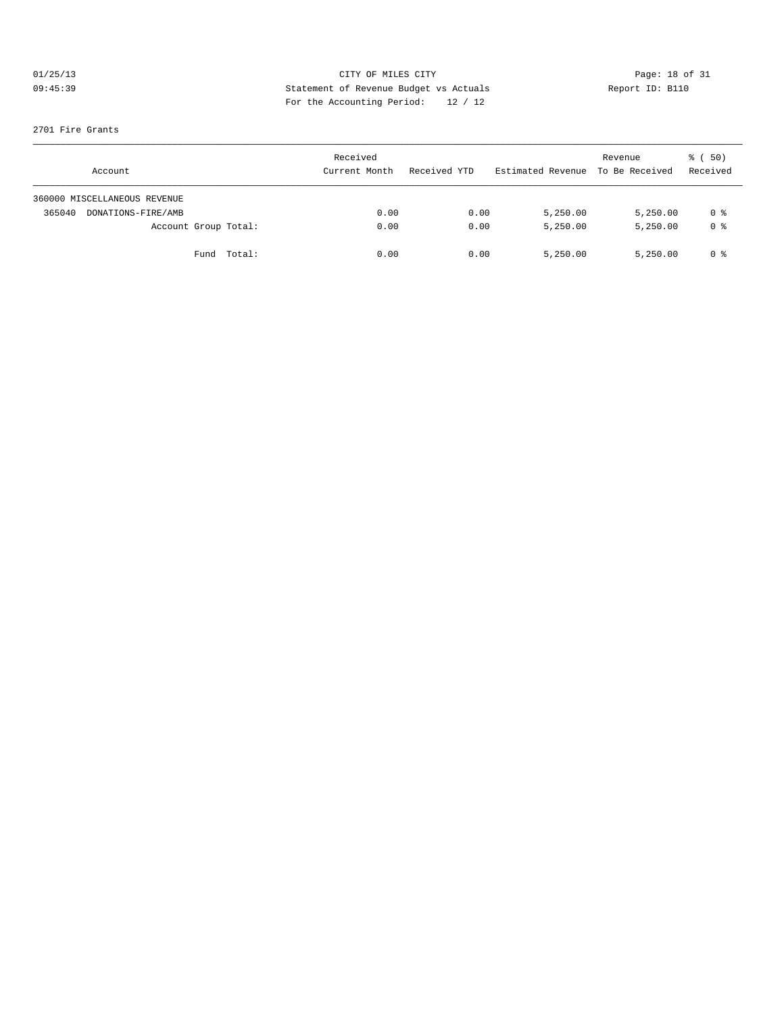# 01/25/13 CITY OF MILES CITY<br>09:45:39 Deport ID: B110<br>09:45:39 CITY OF MILES CITY<br>20:45:39 COMPAREMENT DEVISAL ACTUAL ACTION AND REPORT ID: B110 09:45:39 Statement of Revenue Budget vs Actuals Report ID: B110 For the Accounting Period: 12 / 12

#### 2701 Fire Grants

| Account                      | Received<br>Current Month | Received YTD | Estimated Revenue | Revenue<br>To Be Received | ៖ (50)<br>Received |
|------------------------------|---------------------------|--------------|-------------------|---------------------------|--------------------|
| 360000 MISCELLANEOUS REVENUE |                           |              |                   |                           |                    |
| 365040<br>DONATIONS-FIRE/AMB | 0.00                      | 0.00         | 5,250.00          | 5,250.00                  | 0 %                |
| Account Group Total:         | 0.00                      | 0.00         | 5,250.00          | 5,250.00                  | 0 <sup>8</sup>     |
| Fund Total:                  | 0.00                      | 0.00         | 5,250.00          | 5,250.00                  | 0 %                |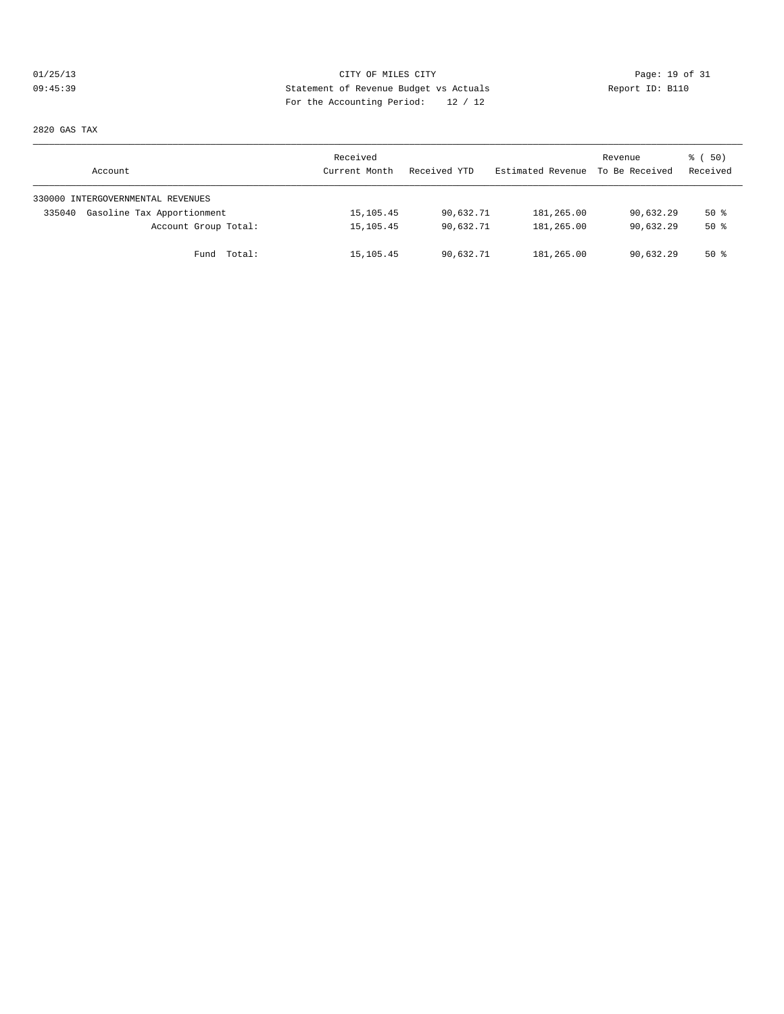# 01/25/13 CITY OF MILES CITY Page: 19 of 31 09:45:39 Statement of Revenue Budget vs Actuals Report ID: B110 For the Accounting Period: 12 / 12

2820 GAS TAX

| Account                              | Received<br>Current Month | Received YTD | Estimated Revenue | Revenue<br>To Be Received | 8 ( 50)<br>Received |
|--------------------------------------|---------------------------|--------------|-------------------|---------------------------|---------------------|
| 330000 INTERGOVERNMENTAL REVENUES    |                           |              |                   |                           |                     |
| Gasoline Tax Apportionment<br>335040 | 15, 105.45                | 90,632.71    | 181,265.00        | 90,632.29                 | 50%                 |
| Account Group Total:                 | 15, 105. 45               | 90,632.71    | 181,265.00        | 90,632.29                 | $50*$               |
| Fund Total:                          | 15,105.45                 | 90,632.71    | 181,265.00        | 90,632.29                 | $50*$               |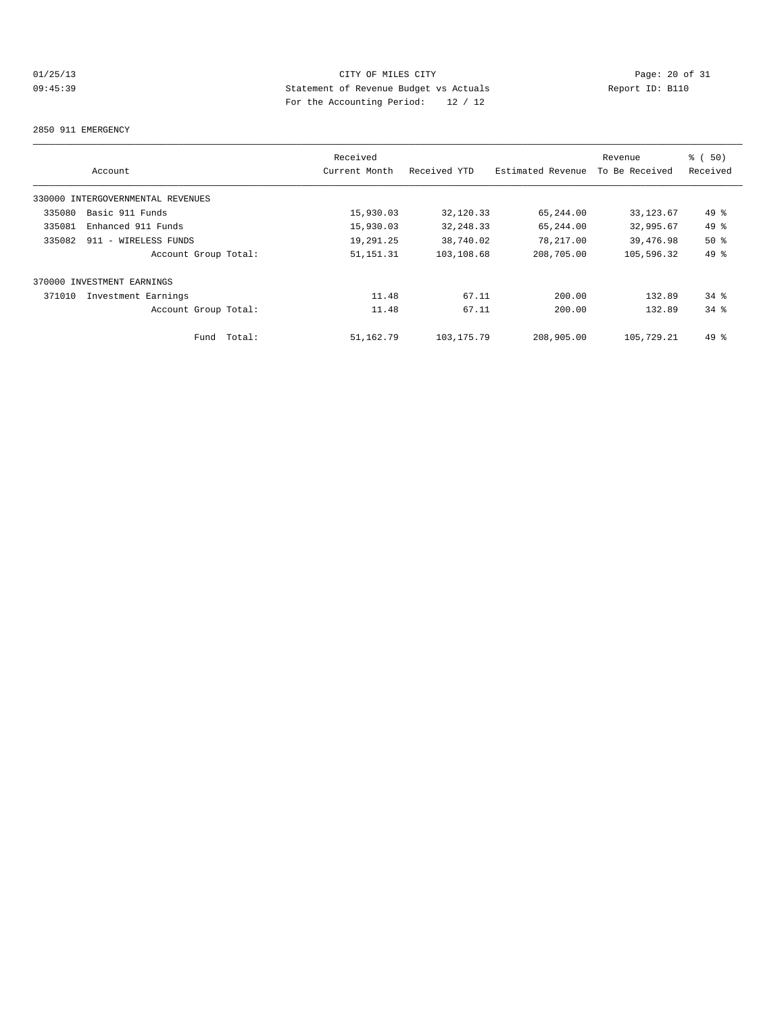# 01/25/13 Page: 20 of 31 09:45:39 Statement of Revenue Budget vs Actuals Report ID: B110 For the Accounting Period: 12 / 12

#### 2850 911 EMERGENCY

|        |                                   | Received      |              |                   | Revenue        | % (50)   |
|--------|-----------------------------------|---------------|--------------|-------------------|----------------|----------|
|        | Account                           | Current Month | Received YTD | Estimated Revenue | To Be Received | Received |
|        | 330000 INTERGOVERNMENTAL REVENUES |               |              |                   |                |          |
| 335080 | Basic 911 Funds                   | 15,930.03     | 32,120.33    | 65,244.00         | 33, 123.67     | 49 %     |
| 335081 | Enhanced 911 Funds                | 15,930.03     | 32, 248.33   | 65,244.00         | 32,995.67      | 49 %     |
| 335082 | 911 - WIRELESS FUNDS              | 19,291.25     | 38,740.02    | 78,217.00         | 39,476.98      | $50*$    |
|        | Account Group Total:              | 51, 151. 31   | 103,108.68   | 208,705.00        | 105,596.32     | 49 %     |
|        | 370000 INVESTMENT EARNINGS        |               |              |                   |                |          |
| 371010 | Investment Earnings               | 11.48         | 67.11        | 200.00            | 132.89         | $34$ $%$ |
|        | Account Group Total:              | 11.48         | 67.11        | 200.00            | 132.89         | 34.8     |
|        | Total:<br>Fund                    | 51,162.79     | 103, 175. 79 | 208,905.00        | 105,729.21     | $49*$    |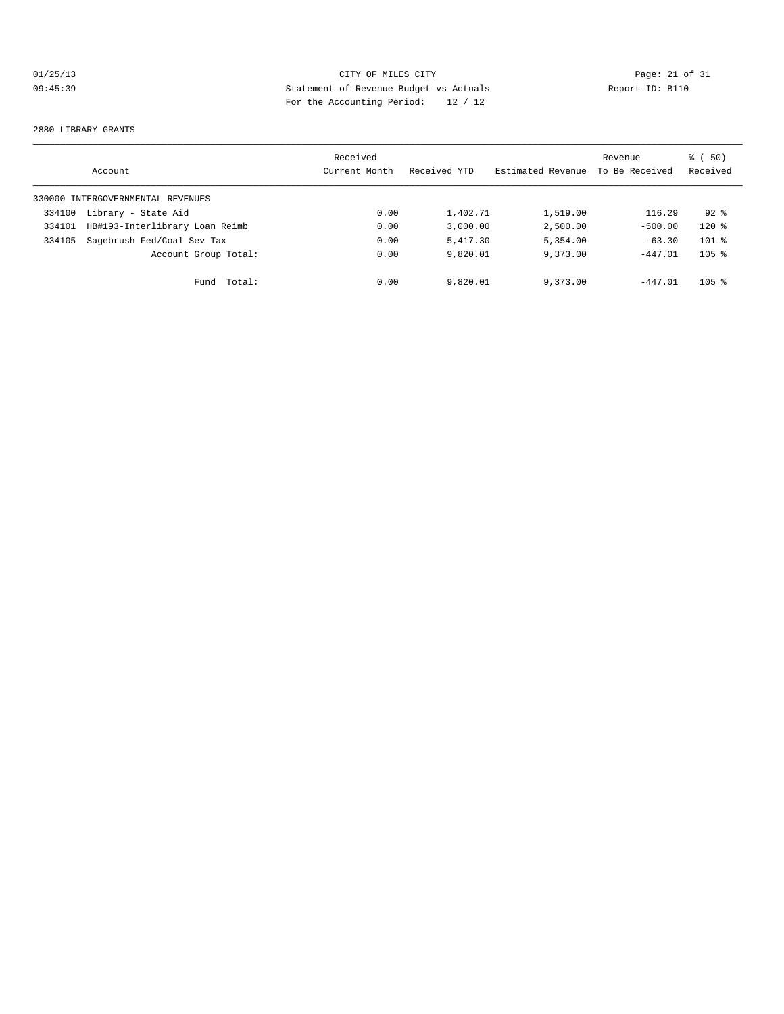# 01/25/13 Page: 21 of 31 09:45:39 Statement of Revenue Budget vs Actuals Report ID: B110 For the Accounting Period: 12 / 12

#### 2880 LIBRARY GRANTS

|        | Account                           | Received<br>Current Month | Received YTD | Estimated Revenue | Revenue<br>To Be Received | 8 ( 50)<br>Received |
|--------|-----------------------------------|---------------------------|--------------|-------------------|---------------------------|---------------------|
|        | 330000 INTERGOVERNMENTAL REVENUES |                           |              |                   |                           |                     |
| 334100 | Library - State Aid               | 0.00                      | 1,402.71     | 1,519.00          | 116.29                    | $92*$               |
| 334101 | HB#193-Interlibrary Loan Reimb    | 0.00                      | 3,000.00     | 2,500.00          | $-500.00$                 | $120*$              |
| 334105 | Sagebrush Fed/Coal Sev Tax        | 0.00                      | 5,417.30     | 5,354.00          | $-63.30$                  | $101$ %             |
|        | Account Group Total:              | 0.00                      | 9,820.01     | 9,373.00          | $-447.01$                 | $105$ %             |
|        | Total:<br>Fund                    | 0.00                      | 9,820.01     | 9,373.00          | $-447.01$                 | $105$ %             |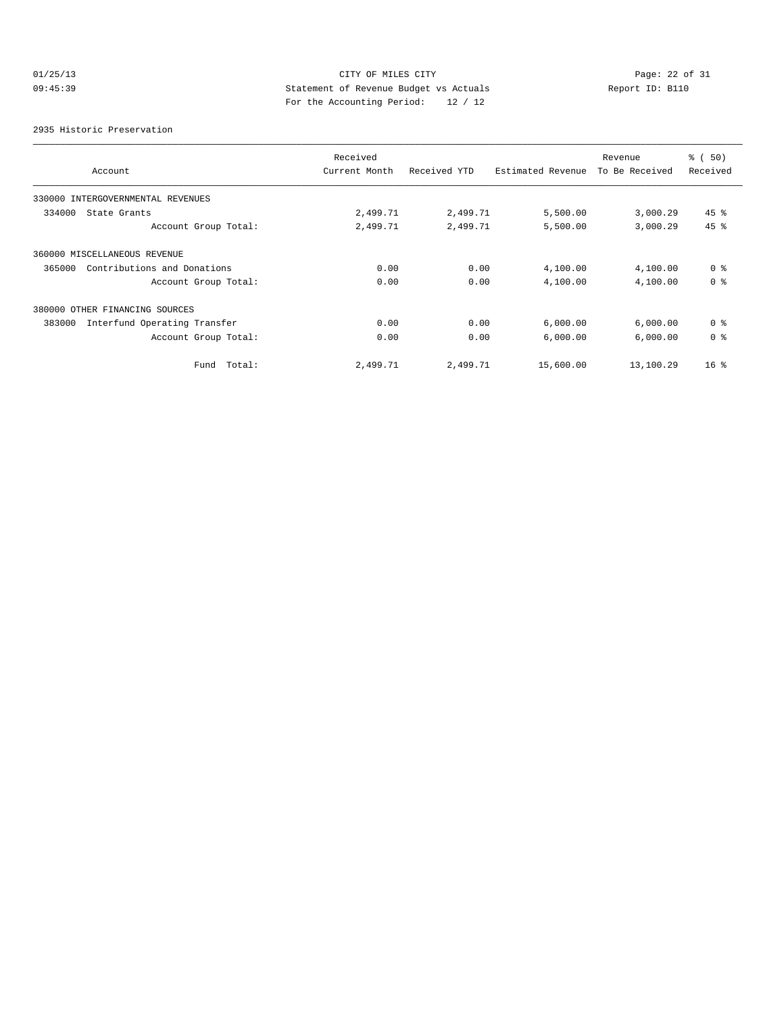# 01/25/13 Page: 22 of 31 09:45:39 Statement of Revenue Budget vs Actuals Report ID: B110 For the Accounting Period: 12 / 12

#### 2935 Historic Preservation

|                                        | Received      |              |                   | Revenue        | % ( 50 )        |
|----------------------------------------|---------------|--------------|-------------------|----------------|-----------------|
| Account                                | Current Month | Received YTD | Estimated Revenue | To Be Received | Received        |
| 330000 INTERGOVERNMENTAL REVENUES      |               |              |                   |                |                 |
| 334000<br>State Grants                 | 2,499.71      | 2,499.71     | 5,500.00          | 3,000.29       | $45$ %          |
| Account Group Total:                   | 2,499.71      | 2,499.71     | 5,500.00          | 3,000.29       | 45 %            |
| 360000 MISCELLANEOUS REVENUE           |               |              |                   |                |                 |
| Contributions and Donations<br>365000  | 0.00          | 0.00         | 4,100.00          | 4,100.00       | 0 <sup>8</sup>  |
| Account Group Total:                   | 0.00          | 0.00         | 4,100.00          | 4,100.00       | 0 <sup>8</sup>  |
| 380000 OTHER FINANCING SOURCES         |               |              |                   |                |                 |
| Interfund Operating Transfer<br>383000 | 0.00          | 0.00         | 6,000.00          | 6,000.00       | 0 <sup>8</sup>  |
| Account Group Total:                   | 0.00          | 0.00         | 6,000.00          | 6,000.00       | 0 <sup>8</sup>  |
| Total:<br>Fund                         | 2,499.71      | 2,499.71     | 15,600.00         | 13,100.29      | 16 <sup>8</sup> |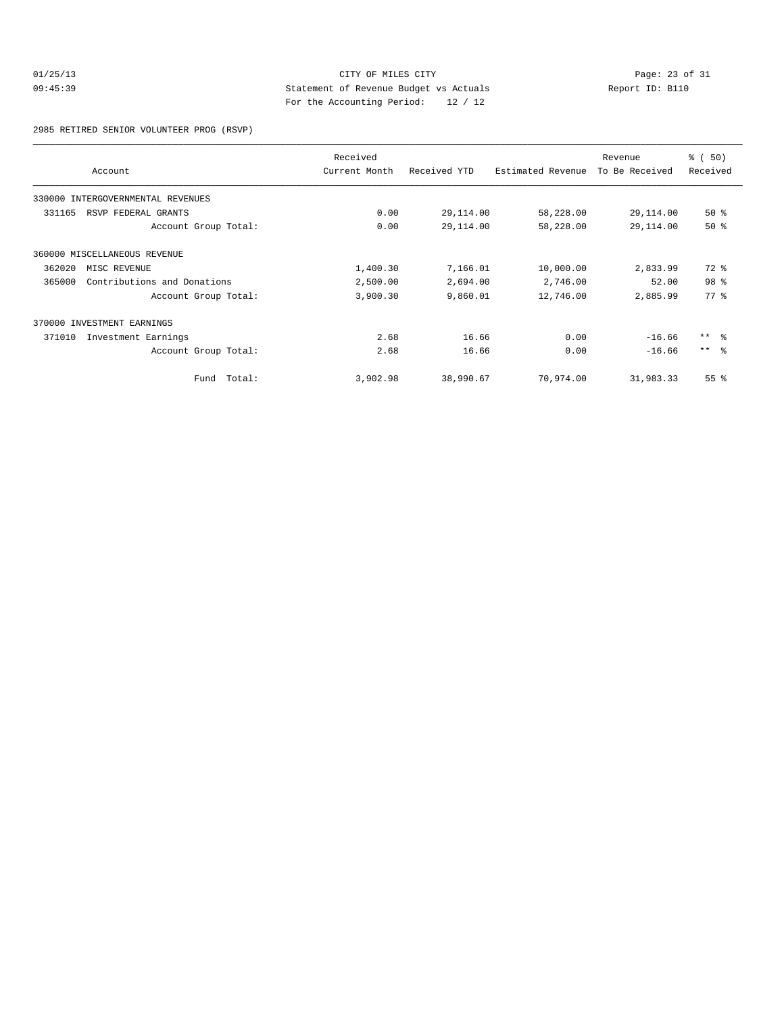# 01/25/13 Page: 23 of 31 09:45:39 Statement of Revenue Budget vs Actuals Report ID: B110 For the Accounting Period: 12 / 12

2985 RETIRED SENIOR VOLUNTEER PROG (RSVP)

|        | Account                      | Received<br>Current Month | Received YTD | Estimated Revenue | Revenue<br>To Be Received | % (50)<br>Received |
|--------|------------------------------|---------------------------|--------------|-------------------|---------------------------|--------------------|
| 330000 | INTERGOVERNMENTAL REVENUES   |                           |              |                   |                           |                    |
| 331165 | RSVP FEDERAL GRANTS          | 0.00                      | 29,114.00    | 58,228.00         | 29,114.00                 | 50%                |
|        | Account Group Total:         | 0.00                      | 29,114.00    | 58,228.00         | 29,114.00                 | 50%                |
|        | 360000 MISCELLANEOUS REVENUE |                           |              |                   |                           |                    |
| 362020 | MISC REVENUE                 | 1,400.30                  | 7,166.01     | 10,000.00         | 2,833.99                  | $72*$              |
| 365000 | Contributions and Donations  | 2,500.00                  | 2,694.00     | 2,746.00          | 52.00                     | 98 <sup>8</sup>    |
|        | Account Group Total:         | 3,900.30                  | 9,860.01     | 12,746.00         | 2,885.99                  | 77.8               |
|        | 370000 INVESTMENT EARNINGS   |                           |              |                   |                           |                    |
| 371010 | Investment Earnings          | 2.68                      | 16.66        | 0.00              | $-16.66$                  | $***$ $ -$         |
|        | Account Group Total:         | 2.68                      | 16.66        | 0.00              | $-16.66$                  | $***$ $ -$         |
|        | Fund Total:                  | 3,902.98                  | 38,990.67    | 70,974.00         | 31,983.33                 | 55%                |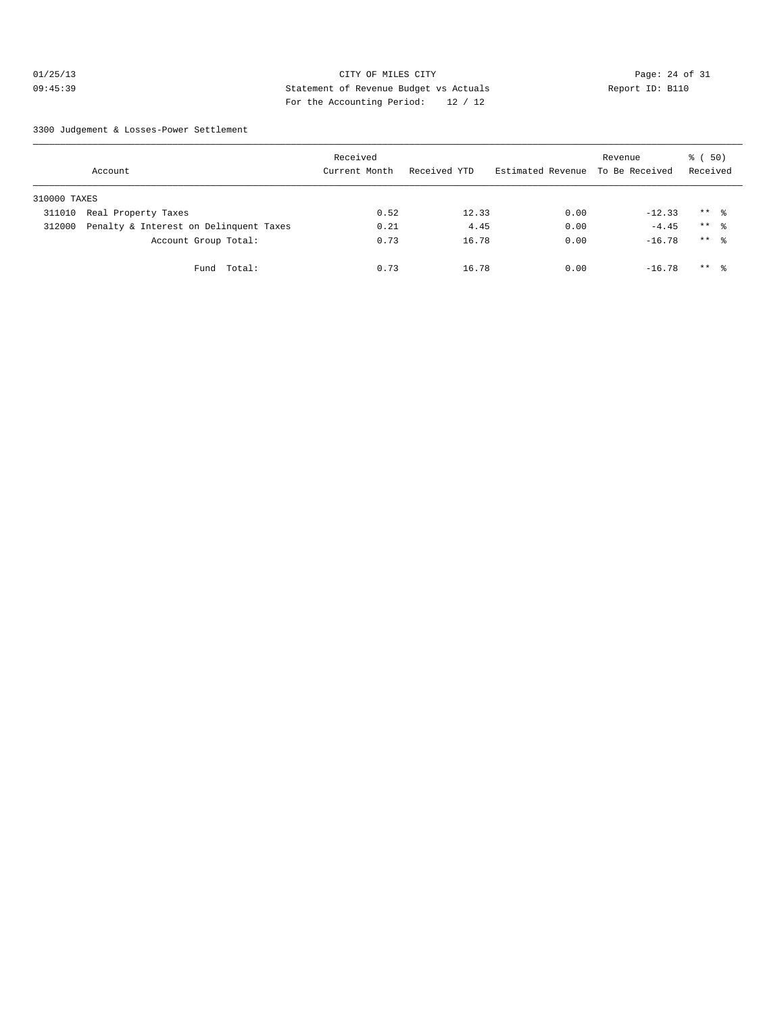# 01/25/13 Page: 24 of 31 09:45:39 Statement of Revenue Budget vs Actuals Report ID: B110 For the Accounting Period: 12 / 12

3300 Judgement & Losses-Power Settlement

|              | Account                                | Received<br>Current Month | Received YTD | Estimated Revenue | Revenue<br>To Be Received | <sub>ර</sub> ි (50)<br>Received |  |
|--------------|----------------------------------------|---------------------------|--------------|-------------------|---------------------------|---------------------------------|--|
| 310000 TAXES |                                        |                           |              |                   |                           |                                 |  |
| 311010       | Real Property Taxes                    | 0.52                      | 12.33        | 0.00              | $-12.33$                  | $***$ %                         |  |
| 312000       | Penalty & Interest on Delinquent Taxes | 0.21                      | 4.45         | 0.00              | $-4.45$                   | $***$ $\approx$                 |  |
|              | Account Group Total:                   | 0.73                      | 16.78        | 0.00              | $-16.78$                  | $***$ $\frac{6}{6}$             |  |
|              | Total:<br>Fund                         | 0.73                      | 16.78        | 0.00              | $-16.78$                  | $***$ $\frac{6}{5}$             |  |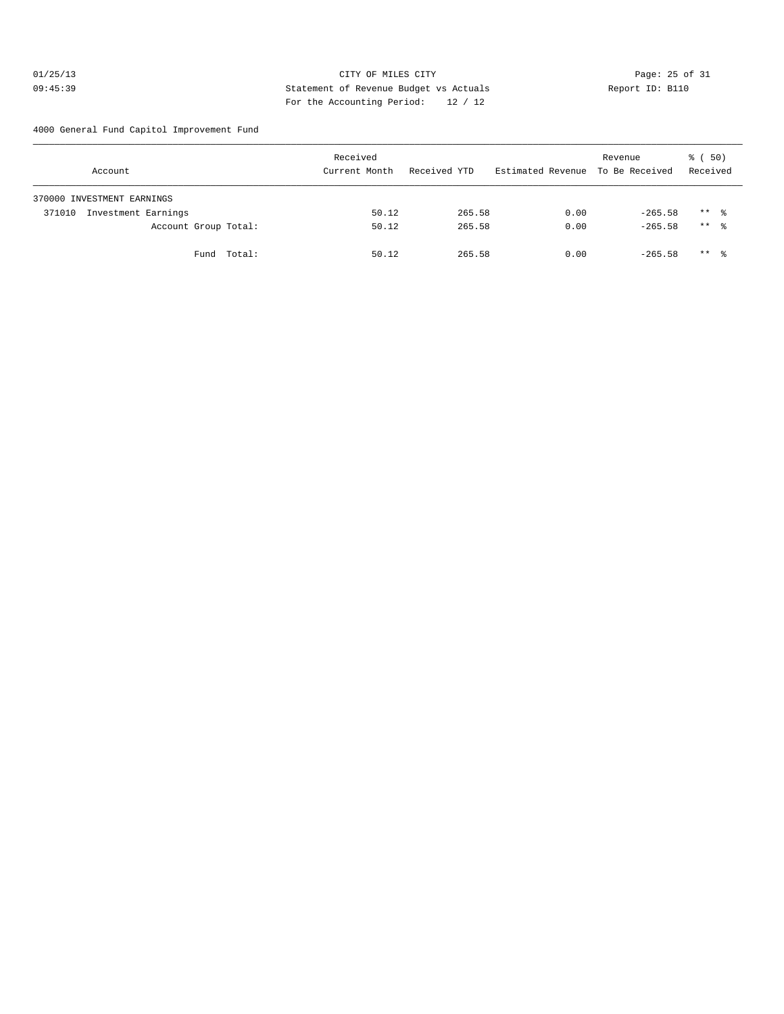# 01/25/13 Page: 25 of 31 09:45:39 Statement of Revenue Budget vs Actuals Report ID: B110 For the Accounting Period: 12 / 12

4000 General Fund Capitol Improvement Fund

| Account                       | Received<br>Current Month | Received YTD | Estimated Revenue To Be Received | Revenue   | 8 ( 50)<br>Received |
|-------------------------------|---------------------------|--------------|----------------------------------|-----------|---------------------|
| 370000 INVESTMENT EARNINGS    |                           |              |                                  |           |                     |
| Investment Earnings<br>371010 | 50.12                     | 265.58       | 0.00                             | $-265.58$ | $***$ $\frac{6}{3}$ |
| Account Group Total:          | 50.12                     | 265.58       | 0.00                             | $-265.58$ | $***$ 8             |
| Fund Total:                   | 50.12                     | 265.58       | 0.00                             | $-265.58$ | $***$ $\frac{6}{3}$ |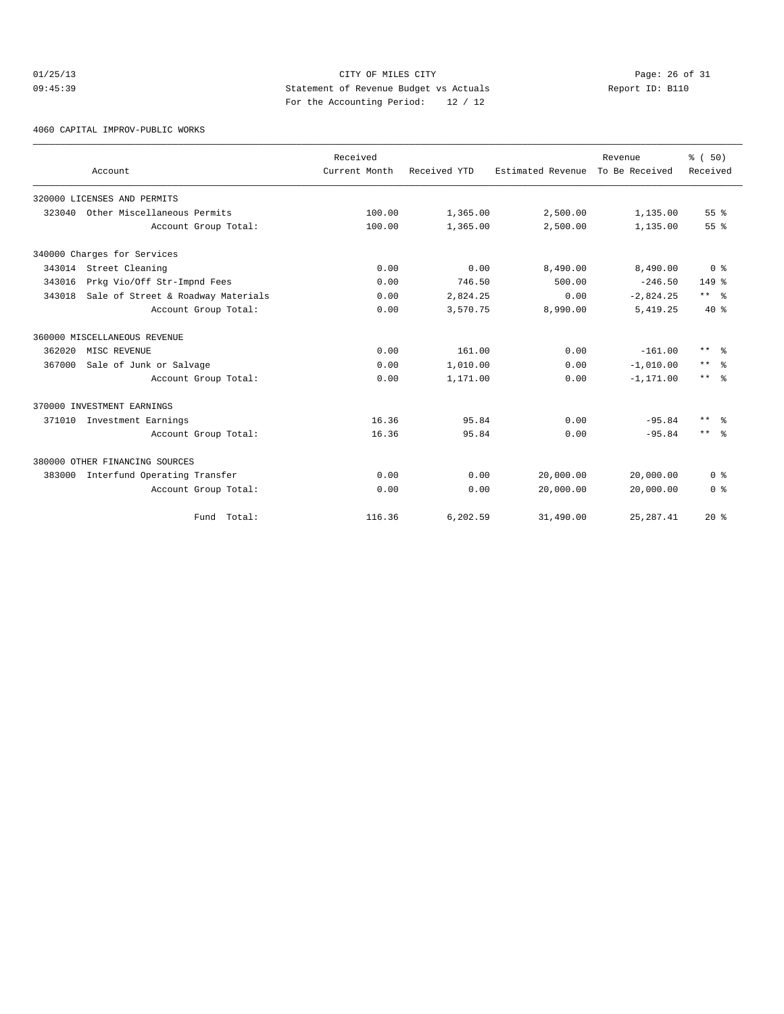# $O1/25/13$  Page: 26 of 31 09:45:39 Statement of Revenue Budget vs Actuals Report ID: B110 For the Accounting Period: 12 / 12

4060 CAPITAL IMPROV-PUBLIC WORKS

|        |                                    | Received      |              |                   | Revenue        | % (50)               |
|--------|------------------------------------|---------------|--------------|-------------------|----------------|----------------------|
|        | Account                            | Current Month | Received YTD | Estimated Revenue | To Be Received | Received             |
|        | 320000 LICENSES AND PERMITS        |               |              |                   |                |                      |
| 323040 | Other Miscellaneous Permits        | 100.00        | 1,365.00     | 2,500.00          | 1,135.00       | 55 <sup>8</sup>      |
|        | Account Group Total:               | 100.00        | 1,365.00     | 2,500.00          | 1,135.00       | 55 <sup>8</sup>      |
|        | 340000 Charges for Services        |               |              |                   |                |                      |
|        | 343014 Street Cleaning             | 0.00          | 0.00         | 8,490.00          | 8,490.00       | 0 <sup>8</sup>       |
| 343016 | Prkg Vio/Off Str-Impnd Fees        | 0.00          | 746.50       | 500.00            | $-246.50$      | $149*$               |
| 343018 | Sale of Street & Roadway Materials | 0.00          | 2,824.25     | 0.00              | $-2,824.25$    | $***$ $ \frac{6}{9}$ |
|        | Account Group Total:               | 0.00          | 3,570.75     | 8,990.00          | 5,419.25       | $40*$                |
|        | 360000 MISCELLANEOUS REVENUE       |               |              |                   |                |                      |
| 362020 | MISC REVENUE                       | 0.00          | 161.00       | 0.00              | $-161.00$      | $***$ $\approx$      |
| 367000 | Sale of Junk or Salvage            | 0.00          | 1,010.00     | 0.00              | $-1.010.00$    | $\star\star$<br>- 옹  |
|        | Account Group Total:               | 0.00          | 1,171.00     | 0.00              | $-1, 171.00$   | $***$ $\approx$      |
|        | 370000 INVESTMENT EARNINGS         |               |              |                   |                |                      |
| 371010 | Investment Earnings                | 16.36         | 95.84        | 0.00              | $-95.84$       | $***$<br>- 옹         |
|        | Account Group Total:               | 16.36         | 95.84        | 0.00              | $-95.84$       | $***$ 2              |
|        | 380000 OTHER FINANCING SOURCES     |               |              |                   |                |                      |
| 383000 | Interfund Operating Transfer       | 0.00          | 0.00         | 20,000.00         | 20,000.00      | 0 <sup>8</sup>       |
|        | Account Group Total:               | 0.00          | 0.00         | 20,000.00         | 20,000.00      | 0 <sup>8</sup>       |
|        | Fund Total:                        | 116.36        | 6,202.59     | 31,490.00         | 25, 287.41     | $20*$                |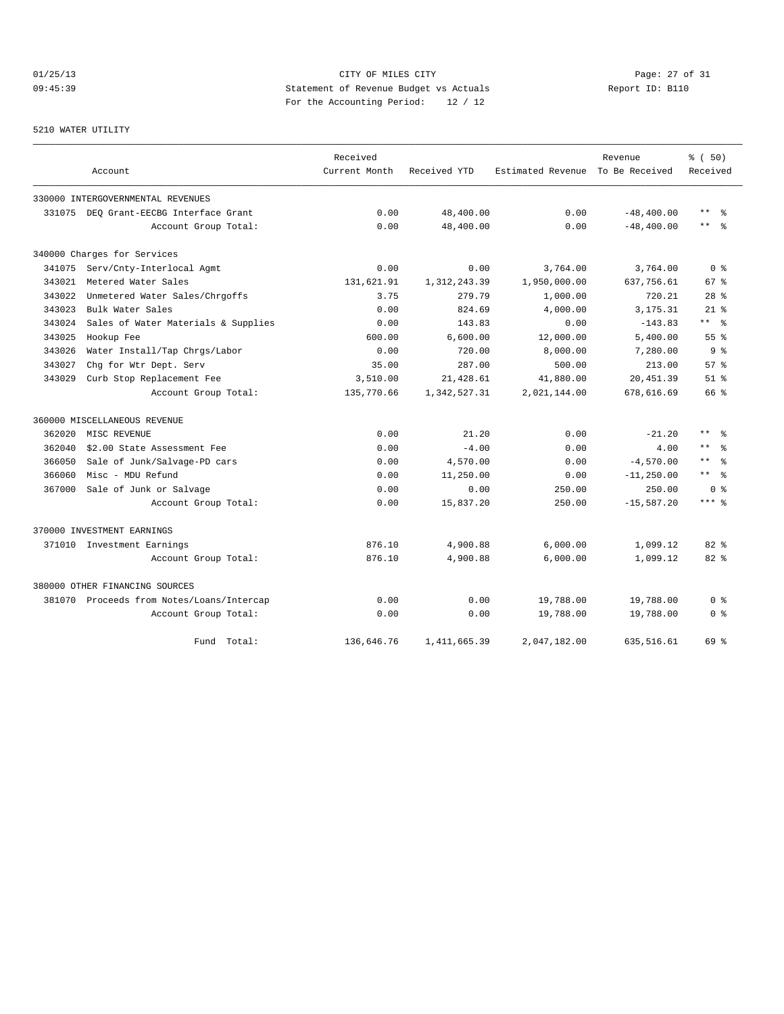# 01/25/13 Page: 27 of 31 09:45:39 Statement of Revenue Budget vs Actuals Report ID: B110 For the Accounting Period: 12 / 12

# 5210 WATER UTILITY

|        |                                           | Received      |                |                                  | Revenue       | % (50)             |
|--------|-------------------------------------------|---------------|----------------|----------------------------------|---------------|--------------------|
|        | Account                                   | Current Month | Received YTD   | Estimated Revenue To Be Received |               | Received           |
|        | 330000 INTERGOVERNMENTAL REVENUES         |               |                |                                  |               |                    |
|        | 331075 DEO Grant-EECBG Interface Grant    | 0.00          | 48,400.00      | 0.00                             | $-48, 400.00$ | $\star\star$<br>န္ |
|        | Account Group Total:                      | 0.00          | 48,400.00      | 0.00                             | $-48, 400.00$ | $\star\star$<br>ႜ  |
|        | 340000 Charges for Services               |               |                |                                  |               |                    |
|        | 341075 Serv/Cnty-Interlocal Agmt          | 0.00          | 0.00           | 3,764.00                         | 3,764.00      | 0 <sup>8</sup>     |
| 343021 | Metered Water Sales                       | 131,621.91    | 1, 312, 243.39 | 1,950,000.00                     | 637,756.61    | 67 <sup>8</sup>    |
| 343022 | Unmetered Water Sales/Chrgoffs            | 3.75          | 279.79         | 1,000.00                         | 720.21        | 28 <sup>8</sup>    |
| 343023 | Bulk Water Sales                          | 0.00          | 824.69         | 4,000.00                         | 3,175.31      | $21$ %             |
| 343024 | Sales of Water Materials & Supplies       | 0.00          | 143.83         | 0.00                             | $-143.83$     | $***$ $ -$         |
| 343025 | Hookup Fee                                | 600.00        | 6,600.00       | 12,000.00                        | 5,400.00      | 55 <sup>8</sup>    |
| 343026 | Water Install/Tap Chrgs/Labor             | 0.00          | 720.00         | 8,000.00                         | 7,280.00      | 9 <sub>8</sub>     |
| 343027 | Chg for Wtr Dept. Serv                    | 35.00         | 287.00         | 500.00                           | 213.00        | 57%                |
| 343029 | Curb Stop Replacement Fee                 | 3,510.00      | 21,428.61      | 41,880.00                        | 20,451.39     | $51$ $%$           |
|        | Account Group Total:                      | 135,770.66    | 1,342,527.31   | 2,021,144.00                     | 678,616.69    | 66 %               |
|        | 360000 MISCELLANEOUS REVENUE              |               |                |                                  |               |                    |
| 362020 | MISC REVENUE                              | 0.00          | 21.20          | 0.00                             | $-21.20$      | $***$ %            |
| 362040 | \$2.00 State Assessment Fee               | 0.00          | $-4.00$        | 0.00                             | 4.00          | $***$<br>ু         |
| 366050 | Sale of Junk/Salvage-PD cars              | 0.00          | 4,570.00       | 0.00                             | $-4,570.00$   | $\star\star$<br>ু  |
| 366060 | Misc - MDU Refund                         | 0.00          | 11,250.00      | 0.00                             | $-11, 250.00$ | ** 왕               |
| 367000 | Sale of Junk or Salvage                   | 0.00          | 0.00           | 250.00                           | 250.00        | 0 <sup>8</sup>     |
|        | Account Group Total:                      | 0.00          | 15,837.20      | 250.00                           | $-15, 587.20$ | $***$ 8            |
|        | 370000 INVESTMENT EARNINGS                |               |                |                                  |               |                    |
|        | 371010 Investment Earnings                | 876.10        | 4,900.88       | 6,000.00                         | 1,099.12      | 82%                |
|        | Account Group Total:                      | 876.10        | 4,900.88       | 6,000.00                         | 1,099.12      | $82*$              |
|        | 380000 OTHER FINANCING SOURCES            |               |                |                                  |               |                    |
|        | 381070 Proceeds from Notes/Loans/Intercap | 0.00          | 0.00           | 19,788.00                        | 19,788.00     | 0 %                |
|        | Account Group Total:                      | 0.00          | 0.00           | 19,788.00                        | 19,788.00     | 0 %                |
|        | Fund Total:                               | 136,646.76    | 1,411,665.39   | 2,047,182.00                     | 635,516.61    | 69 %               |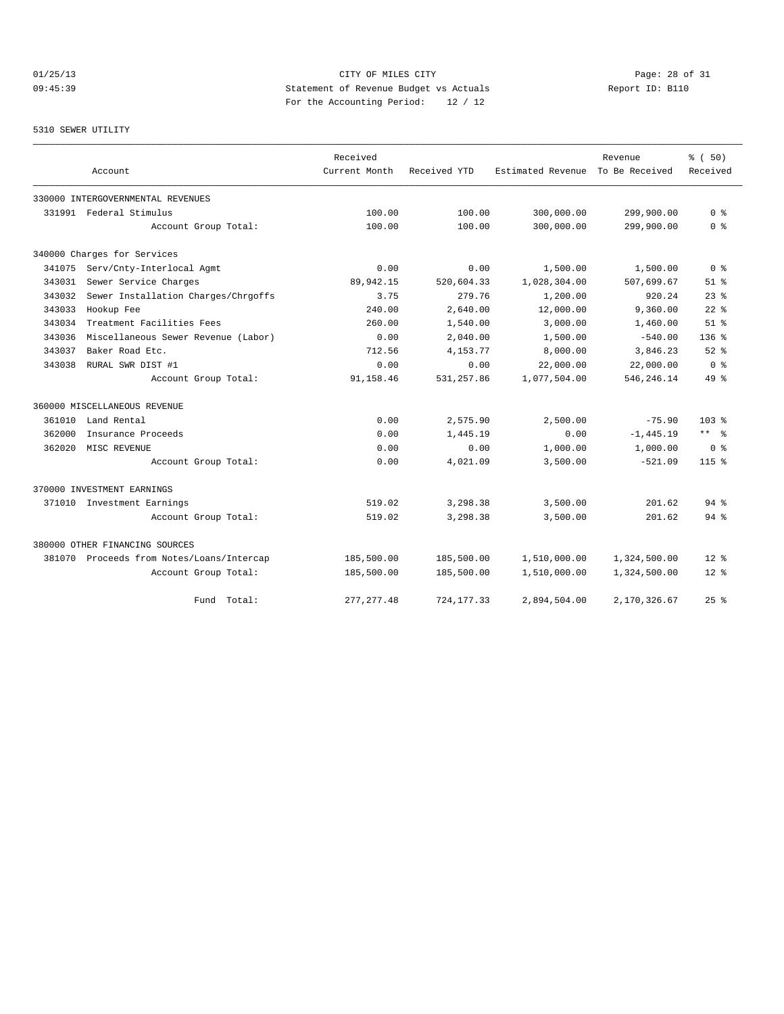# 01/25/13 Page: 28 of 31 09:45:39 Statement of Revenue Budget vs Actuals Report ID: B110 For the Accounting Period: 12 / 12

#### 5310 SEWER UTILITY

|        |                                           | Received      |              |                                  | Revenue      | % (50)             |
|--------|-------------------------------------------|---------------|--------------|----------------------------------|--------------|--------------------|
|        | Account                                   | Current Month | Received YTD | Estimated Revenue To Be Received |              | Received           |
|        | 330000 INTERGOVERNMENTAL REVENUES         |               |              |                                  |              |                    |
|        | 331991 Federal Stimulus                   | 100.00        | 100.00       | 300,000.00                       | 299,900.00   | 0 <sup>8</sup>     |
|        | Account Group Total:                      | 100.00        | 100.00       | 300,000.00                       | 299,900.00   | 0 <sup>8</sup>     |
|        | 340000 Charges for Services               |               |              |                                  |              |                    |
| 341075 | Serv/Cnty-Interlocal Agmt                 | 0.00          | 0.00         | 1,500.00                         | 1,500.00     | 0 <sup>8</sup>     |
| 343031 | Sewer Service Charges                     | 89,942.15     | 520,604.33   | 1,028,304.00                     | 507,699.67   | $51$ $%$           |
| 343032 | Sewer Installation Charges/Chrgoffs       | 3.75          | 279.76       | 1,200.00                         | 920.24       | $23$ $%$           |
| 343033 | Hookup Fee                                | 240.00        | 2,640.00     | 12,000.00                        | 9,360.00     | $22$ $%$           |
| 343034 | Treatment Facilities Fees                 | 260.00        | 1,540.00     | 3,000.00                         | 1,460.00     | $51$ %             |
| 343036 | Miscellaneous Sewer Revenue (Labor)       | 0.00          | 2,040.00     | 1,500.00                         | $-540.00$    | $136$ $%$          |
| 343037 | Baker Road Etc.                           | 712.56        | 4,153.77     | 8,000.00                         | 3,846.23     | $52$ $%$           |
| 343038 | RURAL SWR DIST #1                         | 0.00          | 0.00         | 22,000.00                        | 22,000.00    | 0 <sup>8</sup>     |
|        | Account Group Total:                      | 91,158.46     | 531,257.86   | 1,077,504.00                     | 546, 246.14  | 49 %               |
|        | 360000 MISCELLANEOUS REVENUE              |               |              |                                  |              |                    |
| 361010 | Land Rental                               | 0.00          | 2,575.90     | 2,500.00                         | $-75.90$     | $103*$             |
| 362000 | Insurance Proceeds                        | 0.00          | 1,445.19     | 0.00                             | $-1, 445.19$ | $***$ $ -$         |
| 362020 | MISC REVENUE                              | 0.00          | 0.00         | 1,000.00                         | 1,000.00     | 0 <sup>8</sup>     |
|        | Account Group Total:                      | 0.00          | 4,021.09     | 3,500.00                         | $-521.09$    | $115$ %            |
|        | 370000 INVESTMENT EARNINGS                |               |              |                                  |              |                    |
|        | 371010 Investment Earnings                | 519.02        | 3,298.38     | 3,500.00                         | 201.62       | 94%                |
|        | Account Group Total:                      | 519.02        | 3,298.38     | 3,500.00                         | 201.62       | $94$ $\frac{6}{3}$ |
|        | 380000 OTHER FINANCING SOURCES            |               |              |                                  |              |                    |
|        | 381070 Proceeds from Notes/Loans/Intercap | 185,500.00    | 185,500.00   | 1,510,000.00                     | 1,324,500.00 | $12*$              |
|        | Account Group Total:                      | 185,500.00    | 185,500.00   | 1,510,000.00                     | 1,324,500.00 | $12*$              |
|        | Total:<br>Fund                            | 277, 277.48   | 724, 177.33  | 2,894,504.00                     | 2,170,326.67 | $25$ $\frac{6}{5}$ |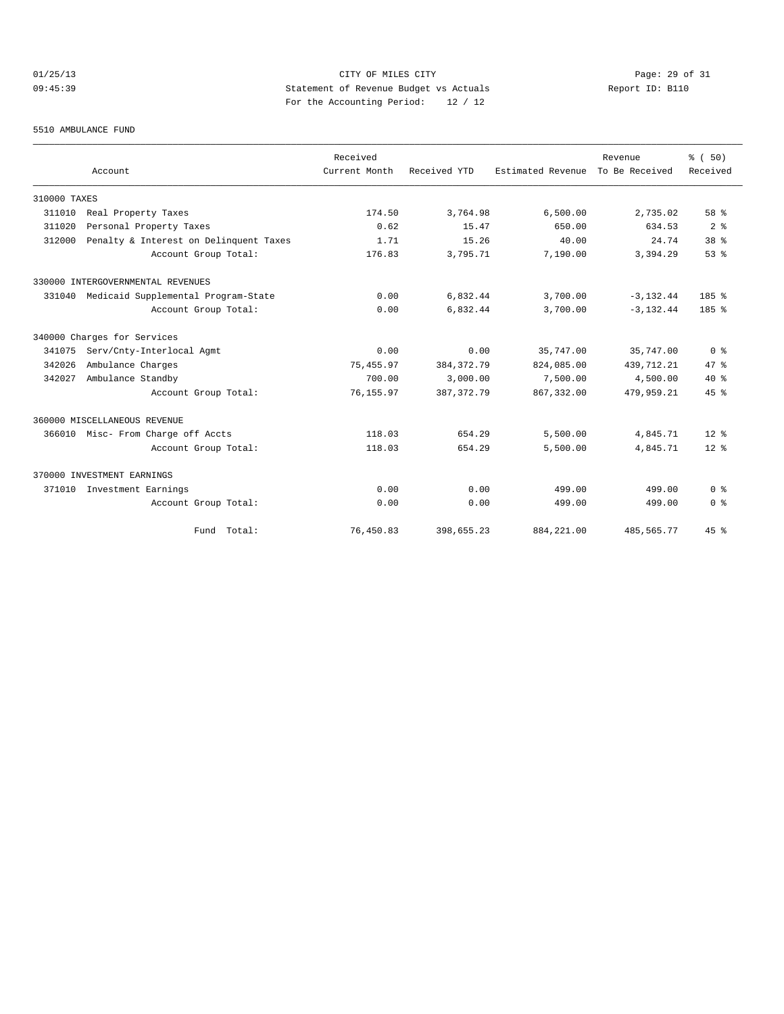# 01/25/13 Page: 29 of 31 09:45:39 Statement of Revenue Budget vs Actuals Report ID: B110 For the Accounting Period: 12 / 12

#### 5510 AMBULANCE FUND

|              |                                            | Received      |              |                                  | Revenue      | % (50)          |
|--------------|--------------------------------------------|---------------|--------------|----------------------------------|--------------|-----------------|
|              | Account                                    | Current Month | Received YTD | Estimated Revenue To Be Received |              | Received        |
| 310000 TAXES |                                            |               |              |                                  |              |                 |
| 311010       | Real Property Taxes                        | 174.50        | 3,764.98     | 6,500.00                         | 2,735.02     | 58 %            |
| 311020       | Personal Property Taxes                    | 0.62          | 15.47        | 650.00                           | 634.53       | 2 <sup>8</sup>  |
| 312000       | Penalty & Interest on Delinquent Taxes     | 1.71          | 15.26        | 40.00                            | 24.74        | 38 <sup>8</sup> |
|              | Account Group Total:                       | 176.83        | 3,795.71     | 7,190.00                         | 3,394.29     | 53%             |
|              | 330000 INTERGOVERNMENTAL REVENUES          |               |              |                                  |              |                 |
|              | 331040 Medicaid Supplemental Program-State | 0.00          | 6,832.44     | 3,700.00                         | $-3, 132.44$ | 185%            |
|              | Account Group Total:                       | 0.00          | 6,832.44     | 3,700.00                         | $-3, 132.44$ | 185%            |
|              | 340000 Charges for Services                |               |              |                                  |              |                 |
| 341075       | Serv/Cnty-Interlocal Agmt                  | 0.00          | 0.00         | 35,747.00                        | 35,747.00    | 0 <sup>8</sup>  |
| 342026       | Ambulance Charges                          | 75, 455.97    | 384, 372. 79 | 824,085.00                       | 439, 712. 21 | 47.8            |
| 342027       | Ambulance Standby                          | 700.00        | 3,000.00     | 7,500.00                         | 4,500.00     | $40*$           |
|              | Account Group Total:                       | 76, 155.97    | 387, 372, 79 | 867, 332, 00                     | 479.959.21   | 45%             |
|              | 360000 MISCELLANEOUS REVENUE               |               |              |                                  |              |                 |
|              | 366010 Misc- From Charge off Accts         | 118.03        | 654.29       | 5,500.00                         | 4,845.71     | $12*$           |
|              | Account Group Total:                       | 118.03        | 654.29       | 5,500.00                         | 4,845.71     | $12*$           |
|              | 370000 INVESTMENT EARNINGS                 |               |              |                                  |              |                 |
| 371010       | Investment Earnings                        | 0.00          | 0.00         | 499.00                           | 499.00       | 0 <sup>8</sup>  |
|              | Account Group Total:                       | 0.00          | 0.00         | 499.00                           | 499.00       | 0 <sup>8</sup>  |
|              | Fund Total:                                | 76,450.83     | 398,655.23   | 884, 221.00                      | 485,565.77   | 45%             |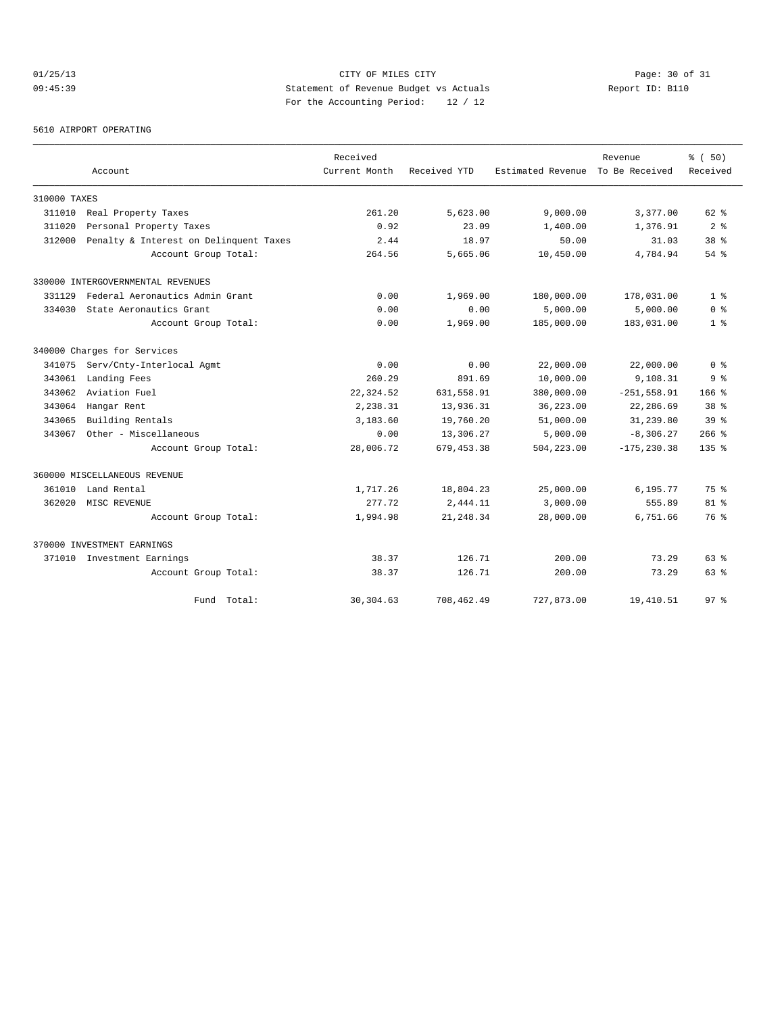# 01/25/13 Page: 30 of 31 09:45:39 Statement of Revenue Budget vs Actuals Report ID: B110 For the Accounting Period: 12 / 12

5610 AIRPORT OPERATING

|              |                                        | Received      |              |                   | Revenue        | % (50)           |
|--------------|----------------------------------------|---------------|--------------|-------------------|----------------|------------------|
|              | Account                                | Current Month | Received YTD | Estimated Revenue | To Be Received | Received         |
| 310000 TAXES |                                        |               |              |                   |                |                  |
| 311010       | Real Property Taxes                    | 261.20        | 5,623.00     | 9,000.00          | 3,377.00       | 62 %             |
| 311020       | Personal Property Taxes                | 0.92          | 23.09        | 1,400.00          | 1,376.91       | 2 <sup>8</sup>   |
| 312000       | Penalty & Interest on Delinquent Taxes | 2.44          | 18.97        | 50.00             | 31.03          | 38 <sup>8</sup>  |
|              | Account Group Total:                   | 264.56        | 5,665.06     | 10,450.00         | 4,784.94       | $54$ $%$         |
|              | 330000 INTERGOVERNMENTAL REVENUES      |               |              |                   |                |                  |
| 331129       | Federal Aeronautics Admin Grant        | 0.00          | 1,969.00     | 180,000.00        | 178,031.00     | 1 <sup>8</sup>   |
| 334030       | State Aeronautics Grant                | 0.00          | 0.00         | 5,000.00          | 5,000.00       | 0 <sup>8</sup>   |
|              | Account Group Total:                   | 0.00          | 1,969.00     | 185,000.00        | 183,031.00     | 1 <sup>8</sup>   |
|              | 340000 Charges for Services            |               |              |                   |                |                  |
| 341075       | Serv/Cnty-Interlocal Agmt              | 0.00          | 0.00         | 22,000.00         | 22,000.00      | 0 <sup>8</sup>   |
| 343061       | Landing Fees                           | 260.29        | 891.69       | 10,000.00         | 9,108.31       | 9 <sup>8</sup>   |
| 343062       | Aviation Fuel                          | 22, 324.52    | 631,558.91   | 380,000.00        | $-251, 558.91$ | 166 <sup>8</sup> |
| 343064       | Hangar Rent                            | 2,238.31      | 13,936.31    | 36,223.00         | 22,286.69      | 38 <sup>8</sup>  |
| 343065       | Building Rentals                       | 3,183.60      | 19,760.20    | 51,000.00         | 31,239.80      | 39 <sup>8</sup>  |
| 343067       | Other - Miscellaneous                  | 0.00          | 13,306.27    | 5,000.00          | $-8,306.27$    | $266$ %          |
|              | Account Group Total:                   | 28,006.72     | 679, 453.38  | 504,223.00        | $-175, 230.38$ | $135*$           |
|              | 360000 MISCELLANEOUS REVENUE           |               |              |                   |                |                  |
| 361010       | Land Rental                            | 1,717.26      | 18,804.23    | 25,000.00         | 6,195.77       | 75 %             |
| 362020       | MISC REVENUE                           | 277.72        | 2,444.11     | 3,000.00          | 555.89         | $81$ %           |
|              | Account Group Total:                   | 1,994.98      | 21, 248.34   | 28,000.00         | 6,751.66       | 76 %             |
|              | 370000 INVESTMENT EARNINGS             |               |              |                   |                |                  |
|              | 371010 Investment Earnings             | 38.37         | 126.71       | 200.00            | 73.29          | $63$ $%$         |
|              | Account Group Total:                   | 38.37         | 126.71       | 200.00            | 73.29          | $63$ $%$         |
|              | Fund Total:                            | 30, 304.63    | 708,462.49   | 727,873.00        | 19,410.51      | 97 <sup>°</sup>  |